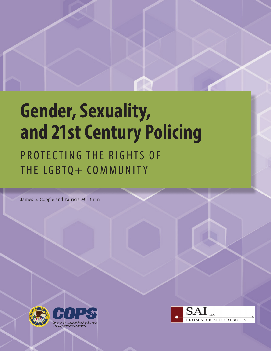# **Gender, Sexuality, and 21st Century Policing**

## PROTECTING THE RIGHTS OF THE LGBTQ+ COMMUNITY

James E. Copple and Patricia M. Dunn



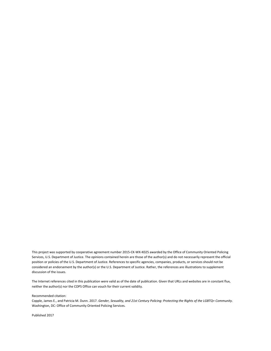This project was supported by cooperative agreement number 2015-CK-WX-K025 awarded by the Office of Community Oriented Policing Services, U.S. Department of Justice. The opinions contained herein are those of the author(s) and do not necessarily represent the official position or policies of the U.S. Department of Justice. References to specific agencies, companies, products, or services should not be considered an endorsement by the author(s) or the U.S. Department of Justice. Rather, the references are illustrations to supplement discussion of the issues.

The Internet references cited in this publication were valid as of the date of publication. Given that URLs and websites are in constant flux, neither the author(s) nor the COPS Office can vouch for their current validity.

Recommended citation:

Copple, James E., and Patricia M. Dunn. 2017. *Gender, Sexuality, and 21st Century Policing: Protecting the Rights of the LGBTQ+ Community*. Washington, DC: Office of Community Oriented Policing Services.

Published 2017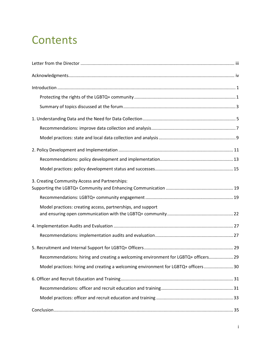### **Contents**

| 3. Creating Community Access and Partnerships:                                      |
|-------------------------------------------------------------------------------------|
|                                                                                     |
| Model practices: creating access, partnerships, and support                         |
|                                                                                     |
|                                                                                     |
|                                                                                     |
| Recommendations: hiring and creating a welcoming environment for LGBTQ+ officers 29 |
| Model practices: hiring and creating a welcoming environment for LGBTQ+ officers 30 |
|                                                                                     |
|                                                                                     |
|                                                                                     |
|                                                                                     |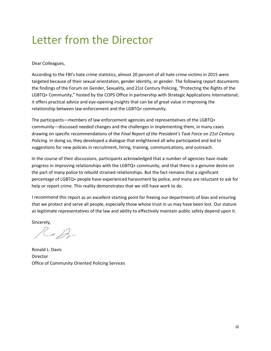### <span id="page-4-0"></span>Letter from the Director

#### Dear Colleagues,

According to the FBI's hate crime statistics, almost 20 percent of all hate crime victims in 2015 were targeted because of their sexual orientation, gender identity, or gender. The following report documents the findings of the Forum on Gender, Sexuality, and 21st Century Policing, *"*Protecting the Rights of the LGBTQ+ Community," hosted by the COPS Office in partnership with Strategic Applications International; it offers practical advice and eye-opening insights that can be of great value in improving the relationship between law enforcement and the LGBTQ+ community.

The participants—members of law enforcement agencies and representatives of the LGBTQ+ community—discussed needed changes and the challenges in implementing them, in many cases drawing on specific recommendations of the *Final Report of the President's Task Force on 21st Century Policing*. In doing so, they developed a dialogue that enlightened all who participated and led to suggestions for new policies in recruitment, hiring, training, communications, and outreach.

In the course of their discussions, participants acknowledged that a number of agencies have made progress in improving relationships with the LGBTQ+ community, and that there is a genuine desire on the part of many police to rebuild strained relationships. But the fact remains that a significant percentage of LGBTQ+ people have experienced harassment by police, and many are reluctant to ask for help or report crime. This reality demonstrates that we still have work to do.

I recommend this report as an excellent starting point for freeing our departments of bias and ensuring that we protect and serve all people, especially those whose trust in us may have been lost. Our stature as legitimate representatives of the law and ability to effectively maintain public safety depend upon it.

Sincerely,

Kep

Ronald L. Davis Director Office of Community Oriented Policing Services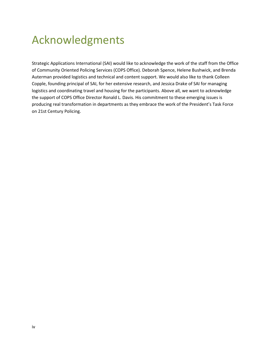### <span id="page-5-0"></span>Acknowledgments

Strategic Applications International (SAI) would like to acknowledge the work of the staff from the Office of Community Oriented Policing Services (COPS Office). Deborah Spence, Helene Bushwick, and Brenda Auterman provided logistics and technical and content support. We would also like to thank Colleen Copple, founding principal of SAI, for her extensive research, and Jessica Drake of SAI for managing logistics and coordinating travel and housing for the participants. Above all, we want to acknowledge the support of COPS Office Director Ronald L. Davis. His commitment to these emerging issues is producing real transformation in departments as they embrace the work of the President's Task Force on 21st Century Policing.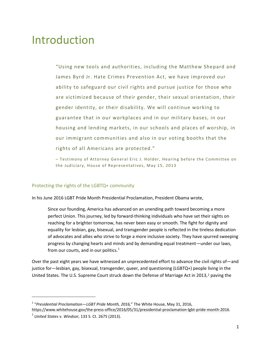### <span id="page-6-0"></span>Introduction

"Using new tools and authorities, including the Matthew Shepard and James Byrd Jr. Hate Crimes Prevention Act, we have improved our ability to safeguard our civil rights and pursue justice for those who are victimized because of their gender, their sexual orientation, their gender identity, or their disability. We will continue working to guarantee that in our workplaces and in our military bases, in our housing and lending markets, in our schools and places of worship, in our immigrant communities and also in our voting booths that the rights of all Americans are protected."

– Testimony of Attorney General Eric J. Holder, Hearing before the Committee on the Judiciary, House of Representatives, May 15, 2013

#### <span id="page-6-1"></span>Protecting the rights of the LGBTQ+ community

In his June 2016 LGBT Pride Month Presidential Proclamation, President Obama wrote,

Since our founding, America has advanced on an unending path toward becoming a more perfect Union. This journey, led by forward-thinking individuals who have set their sights on reaching for a brighter tomorrow, has never been easy or smooth. The fight for dignity and equality for lesbian, gay, bisexual, and transgender people is reflected in the tireless dedication of advocates and allies who strive to forge a more inclusive society. They have spurred sweeping progress by changing hearts and minds and by demanding equal treatment—under our laws, from our courts, and in our politics. $<sup>1</sup>$  $<sup>1</sup>$  $<sup>1</sup>$ </sup>

Over the past eight years we have witnessed an unprecedented effort to advance the civil rights of—and justice for—lesbian, gay, bisexual, transgender, queer, and questioning (LGBTQ+) people [li](#page-6-3)ving in the United States. The U.S. Supreme Court struck down the Defense of Marriage Act in 2013,<sup>2</sup> paving the

https://www.whitehouse.gov/the-press-office/2016/05/31/presidential-proclamation-lgbt-pride-month-2016.

<span id="page-6-2"></span><sup>&</sup>lt;sup>1</sup> "Presidential Proclamation—LGBT Pride Month, 2016," The White House, May 31, 2016,

<span id="page-6-3"></span><sup>2</sup> *United States* v. *Windsor*, 133 S. Ct. 2675 (2013).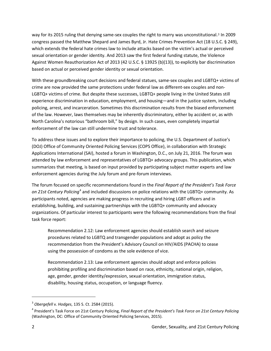way for its 2015 ruling that denying same-sex couples the right to marry was unconstitutional.<sup>3</sup> In 2009 congress passed the Matthew Shepard and James Byrd, Jr. Hate Crimes Prevention Act (18 U.[S.C](#page-7-0). § 249), which extends the federal hate crimes law to include attacks based on the victim's actual or perceived sexual orientation or gender identity. And 2013 saw the first federal funding statute, the Violence Against Women Reauthorization Act of 2013 (42 U.S.C. § 13925 (b)(13)), to explicitly bar discrimination based on actual or perceived gender identity or sexual orientation.

With these groundbreaking court decisions and federal statues, same-sex couples and LGBTQ+ victims of crime are now provided the same protections under federal law as different-sex couples and non-LGBTQ+ victims of crime. But despite these successes, LGBTQ+ people living in the United States still experience discrimination in education, employment, and housing—and in the justice system, including policing, arrest, and incarceration. Sometimes this discrimination results from the biased enforcement of the law. However, laws themselves may be inherently discriminatory, either by accident or, as with North Carolina's notorious "bathroom bill," by design. In such cases, even completely impartial enforcement of the law can still undermine trust and tolerance.

To address these issues and to explore their importance to policing, the U.S. Department of Justice's (DOJ) Office of Community Oriented Policing Services (COPS Office), in collaboration with Strategic Applications International (SAI), hosted a forum in Washington, D.C., on July 21, 2016. The forum was attended by law enforcement and representatives of LGBTQ+ advocacy groups. This publication, which summarizes that meeting, is based on input provided by participating subject matter experts and law enforcement agencies during the July forum and pre-forum interviews.

The forum focused on specific recommendations found in the *Final Report of the President's Task Force on 21st Century Policing*[4](#page-7-1) and included discussions on police relations with the LGBTQ+ community. As participants noted, agencies are making progress in recruiting and hiring LGBT officers and in establishing, building, and sustaining partnerships with the LGBTQ+ community and advocacy organizations. Of particular interest to participants were the following recommendations from the final task force report:

Recommendation 2.12: Law enforcement agencies should establish search and seizure procedures related to LGBTQ and transgender populations and adopt as policy the recommendation from the President's Advisory Council on HIV/AIDS (PACHA) to cease using the possession of condoms as the sole evidence of vice.

Recommendation 2.13: Law enforcement agencies should adopt and enforce policies prohibiting profiling and discrimination based on race, ethnicity, national origin, religion, age, gender, gender identity/expression, sexual orientation, immigration status, disability, housing status, occupation, or language fluency.

<span id="page-7-0"></span><sup>3</sup> *Obergefell* v*. Hodges*, 135 S. Ct. 2584 (2015).

<span id="page-7-1"></span><sup>4</sup> President's Task Force on 21st Century Policing, *Final Report of the President's Task Force on 21st Century Policing* (Washington, DC: Office of Community Oriented Policing Services, 2015).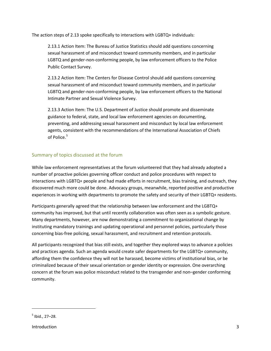The action steps of 2.13 spoke specifically to interactions with LGBTQ+ individuals:

2.13.1 Action Item: The Bureau of Justice Statistics should add questions concerning sexual harassment of and misconduct toward community members, and in particular LGBTQ and gender-non-conforming people, by law enforcement officers to the Police Public Contact Survey.

2.13.2 Action Item: The Centers for Disease Control should add questions concerning sexual harassment of and misconduct toward community members, and in particular LGBTQ and gender-non-conforming people, by law enforcement officers to the National Intimate Partner and Sexual Violence Survey.

2.13.3 Action Item: The U.S. Department of Justice should promote and disseminate guidance to federal, state, and local law enforcement agencies on documenting, preventing, and addressing sexual harassment and misconduct by local law enforcement agents, consistent with the recommendations of the International Association of Chiefs of Police.<sup>[5](#page-8-1)</sup>

### <span id="page-8-0"></span>Summary of topics discussed at the forum

While law enforcement representatives at the forum volunteered that they had already adopted a number of proactive policies governing officer conduct and police procedures with respect to interactions with LGBTQ+ people and had made efforts in recruitment, bias training, and outreach, they discovered much more could be done. Advocacy groups, meanwhile, reported positive and productive experiences in working with departments to promote the safety and security of their LGBTQ+ residents.

Participants generally agreed that the relationship between law enforcement and the LGBTQ+ community has improved, but that until recently collaboration was often seen as a symbolic gesture. Many departments, however, are now demonstrating a commitment to organizational change by instituting mandatory trainings and updating operational and personnel policies, particularly those concerning bias-free policing, sexual harassment, and recruitment and retention protocols.

All participants recognized that bias still exists, and together they explored ways to advance a policies and practices agenda. Such an agenda would create safer departments for the LGBTQ+ community, affording them the confidence they will not be harassed, become victims of institutional bias, or be criminalized because of their sexual orientation or gender identity or expression. One overarching concern at the forum was police misconduct related to the transgender and non–gender conforming community.

<span id="page-8-1"></span> $<sup>5</sup>$  Ibid., 27–28.</sup>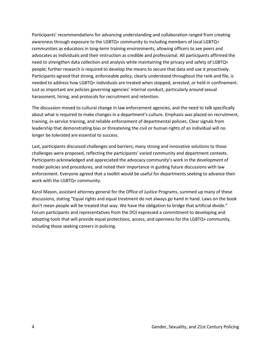Participants' recommendations for advancing understanding and collaboration ranged from creating awareness through exposure to the LGBTQ+ community to including members of local LGBTQ+ communities as educators in long-term training environments, allowing officers to see peers and advocates as individuals and their instruction as credible and professional. All participants affirmed the need to strengthen data collection and analysis while maintaining the privacy and safety of LGBTQ+ people; further research is required to develop the means to secure that data and use it proactively. Participants agreed that strong, enforceable policy, clearly understood throughout the rank and file, is needed to address how LGBTQ+ individuals are treated when stopped, arrested, or held in confinement. Just as important are policies governing agencies' internal conduct, particularly around sexual harassment, hiring, and protocols for recruitment and retention.

The discussion moved to cultural change in law enforcement agencies, and the need to talk specifically about what is required to make changes in a department's culture. Emphasis was placed on recruitment, training, in-service training, and reliable enforcement of departmental policies. Clear signals from leadership that demonstrating bias or threatening the civil or human rights of an individual will no longer be tolerated are essential to success.

Last, participants discussed challenges and barriers; many strong and innovative solutions to those challenges were proposed, reflecting the participants' varied community and department contexts. Participants acknowledged and appreciated the advocacy community's work in the development of model policies and procedures, and noted their importance in guiding future discussions with law enforcement. Everyone agreed that a toolkit would be useful for departments seeking to advance their work with the LGBTQ+ community.

Karol Mason, assistant attorney general for the Office of Justice Programs, summed up many of these discussions, stating "Equal rights and equal treatment do not always go hand in hand. Laws on the book don't mean people will be treated that way. We have the obligation to bridge that artificial divide." Forum participants and representatives from the DOJ expressed a commitment to developing and adopting tools that will provide equal protections, access, and openness for the LGBTQ+ community, including those seeking careers in policing.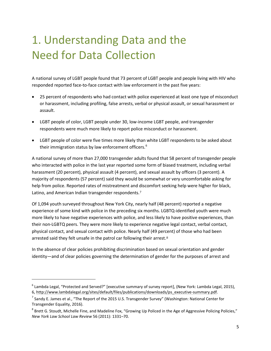# <span id="page-10-0"></span>1. Understanding Data and the Need for Data Collection

A national survey of LGBT people found that 73 percent of LGBT people and people living with HIV who responded reported face-to-face contact with law enforcement in the past five years:

- 25 percent of respondents who had contact with police experienced at least one type of misconduct or harassment, including profiling, false arrests, verbal or physical assault, or sexual harassment or assault.
- LGBT people of color, LGBT people under 30, low-income LGBT people, and transgender respondents were much more likely to report police misconduct or harassment.
- LGBT people of color were five times more likely than white LGBT respondents to be asked about their immigration status by law enforcement officers.<sup>[6](#page-10-1)</sup>

A national survey of more than 27,000 transgender adults found that 58 percent of transgender people who interacted with police in the last year reported some form of biased treatment, including verbal harassment (20 percent), physical assault (4 percent), and sexual assault by officers (3 percent). A majority of respondents (57 percent) said they would be somewhat or very uncomfortable asking for help from police. Reported rates of mistreatment and [d](#page-10-2)iscomfort seeking help were higher for black, Latino, and American Indian transgender respondents.<sup>7</sup>

Of 1,094 youth surveyed throughout New York City, nearly half (48 percent) reported a negative experience of some kind with police in the preceding six months. LGBTQ-identified youth were much more likely to have negative experiences with police, and less likely to have positive experiences, than their non-LGBTQ peers. They were more likely to experience negative legal contact, verbal contact, physical contact, and sexual contact with police. Nearly half (49 per[ce](#page-10-3)nt) of those who had been arrested said they felt unsafe in the patrol car following their arrest.<sup>8</sup>

In the absence of clear policies prohibiting discrimination based on sexual orientation and gender identity—and of clear policies governing the determination of gender for the purposes of arrest and

<span id="page-10-1"></span><sup>6</sup> Lambda Legal, "Protected and Served?" [executive summary of survey report], (New York: Lambda Legal, 2015), 6, http://www.lambdalegal.org/sites/default/files/publications/downloads/ps\_executive-summary.pdf.

<span id="page-10-2"></span> $^7$  Sandy E. James et al., "The Report of the 2015 U.S. Transgender Survey" (Washington: National Center for Transgender Equality, 2016).

<span id="page-10-3"></span><sup>&</sup>lt;sup>8</sup> Brett G. Stoudt, Michelle Fine, and Madeline Fox, "Growing Up Policed in the Age of Aggressive Policing Policies," *New York Law School Law Review* 56 (2011): 1331–70.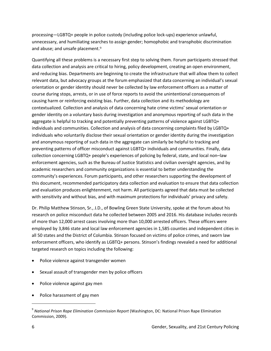processing—LGBTQ+ people in police custody (including police lock-ups) experience unlawful, unnecessary, and humiliating sear[ch](#page-11-0)es to assign gender; homophobic and transphobic discrimination and abuse; and unsafe placement.<sup>9</sup>

Quantifying all these problems is a necessary first step to solving them. Forum participants stressed that data collection and analysis are critical to hiring, policy development, creating an open environment, and reducing bias. Departments are beginning to create the infrastructure that will allow them to collect relevant data, but advocacy groups at the forum emphasized that data concerning an individual's sexual orientation or gender identity should never be collected by law enforcement officers as a matter of course during stops, arrests, or in use of force reports to avoid the unintentional consequences of causing harm or reinforcing existing bias. Further, data collection and its methodology are contextualized. Collection and analysis of data concerning hate crime victims' sexual orientation or gender identity on a voluntary basis during investigation and anonymous reporting of such data in the aggregate is helpful to tracking and potentially preventing patterns of violence against LGBTQ+ individuals and communities. Collection and analysis of data concerning complaints filed by LGBTQ+ individuals who voluntarily disclose their sexual orientation or gender identity during the investigation and anonymous reporting of such data in the aggregate can similarly be helpful to tracking and preventing patterns of officer misconduct against LGBTQ+ individuals and communities. Finally, data collection concerning LGBTQ+ people's experiences of policing by federal, state, and local non–law enforcement agencies, such as the Bureau of Justice Statistics and civilian oversight agencies, and by academic researchers and community organizations is essential to better understanding the community's experiences. Forum participants, and other researchers supporting the development of this document, recommended participatory data collection and evaluation to ensure that data collection and evaluation produces enlightenment, not harm. All participants agreed that data must be collected with sensitivity and without bias, and with maximum protections for individuals' privacy and safety.

Dr. Philip Matthew Stinson, Sr., J.D., of Bowling Green State University, spoke at the forum about his research on police misconduct data he collected between 2005 and 2016. His database includes records of more than 12,000 arrest cases involving more than 10,000 arrested officers. These officers were employed by 3,846 state and local law enforcement agencies in 1,585 counties and independent cities in all 50 states and the District of Columbia. Stinson focused on victims of police crimes, and sworn law enforcement officers, who identify as LGBTQ+ persons. Stinson's findings revealed a need for additional targeted research on topics including the following:

- Police violence against transgender women
- Sexual assault of transgender men by police officers
- Police violence against gay men
- Police harassment of gay men

<span id="page-11-0"></span><sup>9</sup> *National Prison Rape Elimination Commission Report* (Washington, DC: National Prison Rape Elimination Commission, 2009).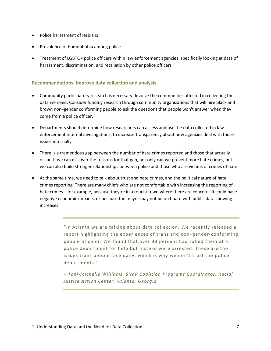- Police harassment of lesbians
- Prevalence of homophobia among police
- Treatment of LGBTQ+ police officers within law enforcement agencies, specifically looking at data of harassment, discrimination, and retaliation by other police officers

### <span id="page-12-0"></span>**Recommendations: improve data collection and analysis**

- Community participatory research is necessary: Involve the communities affected in collecting the data we need. Consider funding research through community organizations that will hire black and brown non–gender conforming people to ask the questions that people won't answer when they come from a police officer.
- Departments should determine how researchers can access and use the data collected in law enforcement internal investigations, to increase transparency about how agencies deal with these issues internally.
- There is a tremendous gap between the number of hate crimes reported and those that actually occur. If we can discover the reasons for that gap, not only can we prevent more hate crimes, but we can also build stronger relationships between police and those who are victims of crimes of hate.
- At the same time, we need to talk about trust and hate crimes, and the political nature of hate crimes reporting. There are many chiefs who are not comfortable with increasing the reporting of hate crimes—for example, because they're in a tourist town where there are concerns it could have negative economic impacts, or because the mayor may not be on board with public data showing increases.

"In Atlanta we are talking about data collection. We recently released a report highlighting the experiences of trans and non–gender-conforming people of color. We found that over 38 percent had called them at a police department for help but instead were arrested. These are the issues trans people face daily, which is why we don't trust the police departments."

*– Toni-Michelle Williams, SNaP Coalition Programs Coordinator, Racial Justice Action Center, Atlanta, Georgia*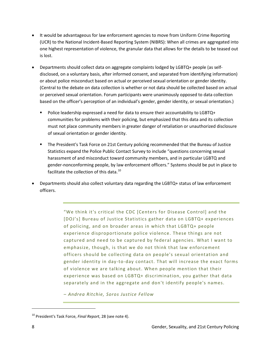- It would be advantageous for law enforcement agencies to move from Uniform Crime Reporting (UCR) to the National Incident-Based Reporting System (NIBRS): When all crimes are aggregated into one highest representation of violence, the granular data that allows for the details to be teased out is lost.
- Departments should collect data on aggregate complaints lodged by LGBTQ+ people (as selfdisclosed, on a voluntary basis, after informed consent, and separated from identifying information) or about police misconduct based on actual or perceived sexual orientation or gender identity. (Central to the debate on data collection is whether or not data should be collected based on actual or perceived sexual orientation. Forum participants were unanimously opposed to data collection based on the officer's perception of an individual's gender, gender identity, or sexual orientation.)
	- Police leadership expressed a need for data to ensure their accountability to LGBTQ+ communities for problems with their policing, but emphasized that this data and its collection must not place community members in greater danger of retaliation or unauthorized disclosure of sexual orientation or gender identity.
	- The President's Task Force on 21st Century policing recommended that the Bureau of Justice Statistics expand the Police Public Contact Survey to include "questions concerning sexual harassment of and misconduct toward community members, and in particular LGBTQ and gender-nonconforming people, by law enforcement officers." Systems should be put in place to facilitate the collection of this data.<sup>[10](#page-13-0)</sup>
- Departments should also collect voluntary data regarding the LGBTQ+ status of law enforcement officers.

"We think it's critical the CDC [Centers for Disease Control] and the [DOJ's] Bureau of Justice Statistics gather data on LGBTQ+ experiences of policing, and on broader areas in which that LGBTQ+ people experience disproportionate police violence. These things are not captured and need to be captured by federal agencies. What I want to emphasize, though, is that we do not think that law enforcement officers should be collecting data on people's sexual orientation and gender identity in day-to-day contact. That will increase the exact forms of violence we are talking about. When people mention that their experience was based on LGBTQ+ discrimination, you gather that data separately and in the aggregate and don't identify people's names.

*– Andrea Ritchie, Soros Justice Fellow* 

<span id="page-13-0"></span><sup>10</sup> President's Task Force, *Final Report*, 28 (see note 4).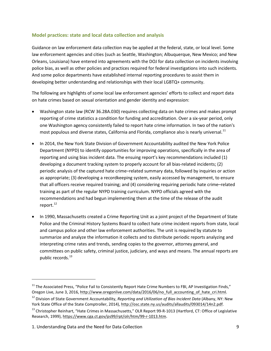### <span id="page-14-0"></span>**Model practices: state and local data collection and analysis**

Guidance on law enforcement data collection may be applied at the federal, state, or local level. Some law enforcement agencies and cities (such as Seattle, Washington; Albuquerque, New Mexico; and New Orleans, Louisiana) have entered into agreements with the DOJ for data collection on incidents involving police bias, as well as other policies and practices required for federal investigations into such incidents. And some police departments have established internal reporting procedures to assist them in developing better understanding and relationships with their local LGBTQ+ community.

The following are highlights of some local law enforcement agencies' efforts to collect and report data on hate crimes based on sexual orientation and gender identity and expression:

- Washington state law (RCW 36.28A.030) requires collecting data on hate crimes and makes prompt reporting of crime statistics a condition for funding and accreditation. Over a six-year period, only one Washington agency consistently failed to report hate crime information. In two of the nation's most populous and diverse states, California and Florida, compliance also is nearly universal.<sup>[11](#page-14-1)</sup>
- In 2014, the New York State Division of Government Accountability audited the New York Police Department (NYPD) to identify opportunities for improving operations, specifically in the area of reporting and using bias incident data. The ensuing report's key recommendations included (1) developing a document tracking system to properly account for all bias-related incidents; (2) periodic analysis of the captured hate crime–related summary data, followed by inquiries or action as appropriate; (3) developing a recordkeeping system, easily accessed by management, to ensure that all officers receive required training; and (4) considering requiring periodic hate crime–related training as part of the regular NYPD training curriculum. NYPD officials agreed with the recommendations and had begun implementing them at the time of the release of the audit report.<sup>12</sup>
- In 1990, Massachusetts created a Crime Reporting Unit as a joint project of the Department of State Police and the Criminal History Systems Board to collect hate crime incident reports from state, local and campus police and other law enforcement authorities. The unit is required by statute to summarize and analyze the information it collects and to distribute periodic reports analyzing and interpreting crime rates and trends, sending copies to the governor, attorney general, and committees on public safety, criminal justice, judiciary, and ways and means. The annual reports are public records.<sup>[13](#page-14-3)</sup>

<span id="page-14-1"></span> $11$  The Associated Press, "Police Fail to Consistently Report Hate Crime Numbers to FBI, AP Investigation Finds," Oregon Live, June 3, 2016, http://www.oregonlive.com/data/2016/06/no\_full\_accounting\_of\_hate\_cri.html.

<span id="page-14-2"></span><sup>12</sup> Division of State Government Accountability, *Reporting and Utilization of Bias Incident Data* (Albany, NY: New York State Office of the State Comptroller, 2014), [http://osc.state.ny.us/audits/allaudits/093014/14n2.pdf.](http://osc.state.ny.us/audits/allaudits/093014/14n2.pdf)

<span id="page-14-3"></span><sup>&</sup>lt;sup>13</sup> Christopher Reinhart, "Hate Crimes in Massachusetts," OLR Report 99-R-1013 (Hartford, CT: Office of Legislative Research, 1999), [https://www.cga.ct.gov/ps99/rpt/olr/htm/99-r-1013.htm.](https://www.cga.ct.gov/ps99/rpt/olr/htm/99-r-1013.htm)

<sup>1.</sup> Understanding Data and the Need for Data Collection 9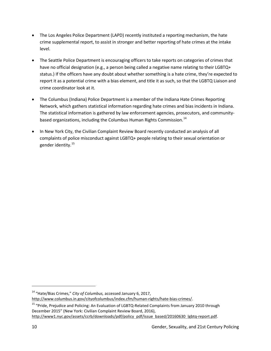- The Los Angeles Police Department (LAPD) recently instituted a reporting mechanism, the hate crime supplemental report, to assist in stronger and better reporting of hate crimes at the intake level.
- The Seattle Police Department is encouraging officers to take reports on categories of crimes that have no official designation (e.g., a person being called a negative name relating to their LGBTQ+ status.) If the officers have any doubt about whether something is a hate crime, they're expected to report it as a potential crime with a bias element, and title it as such, so that the LGBTQ Liaison and crime coordinator look at it.
- The Columbus (Indiana) Police Department is a member of the Indiana Hate Crimes Reporting Network, which gathers statistical information regarding hate crimes and bias incidents in Indiana. The statistical information is gathered by law enforcement agencies, prosecutors, and community-based organizations, including the Columbus Human Rights Commission.<sup>[14](#page-15-0)</sup>
- In New York City, the Civilian Complaint Review Board recently conducted an analysis of all complaints of police misconduct against LGBTQ+ people relating to their sexual orientation or gender identity.<sup>15</sup>

<span id="page-15-0"></span><sup>14</sup> "Hate/Bias Crimes," *City of Columbus,* accessed January 6, 2017,

[http://www.columbus.in.gov/cityofcolumbus/index.cfm/human-rights/hate-bias-crimes/.](http://www.columbus.in.gov/cityofcolumbus/index.cfm/human-rights/hate-bias-crimes/)

<span id="page-15-1"></span><sup>&</sup>lt;sup>15</sup> "Pride, Prejudice and Policing: An Evaluation of LGBTQ-Related Complaints from January 2010 through December 2015" (New York: Civilian Complaint Review Board, 2016), [http://www1.nyc.gov/assets/ccrb/downloads/pdf/policy\\_pdf/issue\\_based/20160630\\_lgbtq-report.pdf.](http://www1.nyc.gov/assets/ccrb/downloads/pdf/policy_pdf/issue_based/20160630_lgbtq-report.pdf)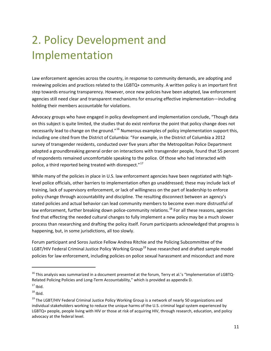# <span id="page-16-0"></span>2. Policy Development and Implementation

Law enforcement agencies across the country, in response to community demands, are adopting and reviewing policies and practices related to the LGBTQ+ community. A written policy is an important first step towards ensuring transparency. However, once new policies have been adopted, law enforcement agencies still need clear and transparent mechanisms for ensuring effective implementation—including holding their members accountable for violations.

Advocacy groups who have engaged in policy development and implementation conclude, "Though data on this subject is quite limited, the studies that do exist reinforce the point that policy change does not necessarily lead to change on the ground."<sup>[16](#page-16-1)</sup> Numerous examples of policy implementation support this, including one cited from the District of Columbia: "For example, in the District of Columbia a 2012 survey of transgender residents, conducted over five years after the Metropolitan Police Department adopted a groundbreaking general order on interactions with transgender people, found that 55 percent of respondents remained uncomfortable speaking to the police. Of those who had interacted with police, a third reported being treated with disrespect."<sup>[17](#page-16-2)</sup>

While many of the policies in place in U.S. law enforcement agencies have been negotiated with highlevel police officials, other barriers to implementation often go unaddressed; these may include lack of training, lack of supervisory enforcement, or lack of willingness on the part of leadership to enforce policy change through accountability and discipline. The resulting disconnect between an agency's stated policies and actual behavior can lead community members to become even more distrustful of law enforcement, further breaking down police-community relations.<sup>[18](#page-16-3)</sup> For all these reasons, agencies find that effecting the needed cultural changes to fully implement a new policy may be a much slower process than researching and drafting the policy itself. Forum participants acknowledged that progress is happening, but, in some jurisdictions, all too slowly.

Forum participant and Soros Justice Fellow Andrea Ritchie and the Policing Subcommittee of the LGBT/HIV Federal Criminal Justice Policy Working Group<sup>[19](#page-16-4)</sup> have researched and drafted sample model policies for law enforcement, including policies on police sexual harassment and misconduct and more

<span id="page-16-1"></span><sup>&</sup>lt;sup>16</sup> This analysis was summarized in a document presented at the forum, Terry et al.'s "Implementation of LGBTQ-Related Policing Policies and Long-Term Accountability," which is provided as appendix D.

<span id="page-16-2"></span> $17$  Ibid.

<span id="page-16-3"></span> $18$  Ibid.

<span id="page-16-4"></span><sup>&</sup>lt;sup>19</sup> The LGBT/HIV Federal Criminal Justice Policy Working Group is a network of nearly 50 organizations and individual stakeholders working to reduce the unique harms of the U.S. criminal legal system experienced by LGBTQ+ people, people living with HIV or those at risk of acquiring HIV, through research, education, and policy advocacy at the federal level.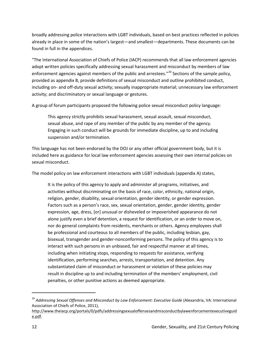broadly addressing police interactions with LGBT individuals, based on best practices reflected in policies already in place in some of the nation's largest—and smallest—departments. These documents can be found in full in the appendices.

"The International Association of Chiefs of Police (IACP) recommends that all law enforcement agencies adopt written policies specifically addressing sexual harassment and misconduct by members of law enforcement agencies against members of the public and arrestees."<sup>[20](#page-17-0)</sup> Sections of the sample policy, provided as appendix B, provide definitions of sexual misconduct and outline prohibited conduct, including on- and off-duty sexual activity; sexually inappropriate material; unnecessary law enforcement activity; and discriminatory or sexual language or gestures.

A group of forum participants proposed the following police sexual misconduct policy language:

This agency strictly prohibits sexual harassment, sexual assault, sexual misconduct, sexual abuse, and rape of any member of the public by any member of the agency. Engaging in such conduct will be grounds for immediate discipline, up to and including suspension and/or termination.

This language has not been endorsed by the DOJ or any other official government body, but it is included here as guidance for local law enforcement agencies assessing their own internal policies on sexual misconduct.

The model policy on law enforcement interactions with LGBT individuals (appendix A) states,

It is the policy of this agency to apply and administer all programs, initiatives, and activities without discriminating on the basis of race, color, ethnicity, national origin, religion, gender, disability, sexual orientation, gender identity, or gender expression. Factors such as a person's race, sex, sexual orientation, gender, gender identity, gender expression, age, dress, [or] unusual or disheveled or impoverished appearance do not alone justify even a brief detention, a request for identification, or an order to move on, nor do general complaints from residents, merchants or others. Agency employees shall be professional and courteous to all members of the public, including lesbian, gay, bisexual, transgender and gender-nonconforming persons. The policy of this agency is to interact with such persons in an unbiased, fair and respectful manner at all times, including when initiating stops, responding to requests for assistance, verifying identification, performing searches, arrests, transportation, and detention. Any substantiated claim of misconduct or harassment or violation of these policies may result in discipline up to and including termination of the members' employment, civil penalties, or other punitive actions as deemed appropriate.

<span id="page-17-0"></span><sup>&</sup>lt;sup>20</sup> Addressing Sexual Offenses and Misconduct by Law Enforcement: Executive Guide (Alexandria, VA: International Association of Chiefs of Police, 2011),

http://www.theiacp.org/portals/0/pdfs/addressingsexualoffensesandmisconductbylawenforcementexecutiveguid e.pdf.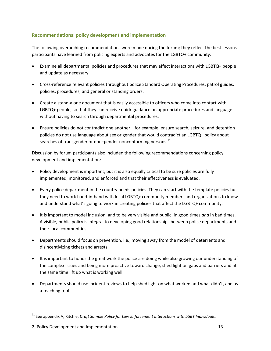### <span id="page-18-0"></span>**Recommendations: policy development and implementation**

The following overarching recommendations were made during the forum; they reflect the best lessons participants have learned from policing experts and advocates for the LGBTQ+ community:

- Examine all departmental policies and procedures that may affect interactions with LGBTQ+ people and update as necessary.
- Cross-reference relevant policies throughout police Standard Operating Procedures, patrol guides, policies, procedures, and general or standing orders.
- Create a stand-alone document that is easily accessible to officers who come into contact with LGBTQ+ people, so that they can receive quick guidance on appropriate procedures and language without having to search through departmental procedures.
- Ensure policies do not contradict one another—for example, ensure search, seizure, and detention policies do not use language about sex or gender that would contradict an LGBTQ+ policy about searches of transgender or non-gender nonconforming persons.<sup>[21](#page-18-1)</sup>

Discussion by forum participants also included the following recommendations concerning policy development and implementation:

- Policy development is important, but it is also equally critical to be sure policies are fully implemented, monitored, and enforced and that their effectiveness is evaluated.
- Every police department in the country needs policies. They can start with the template policies but they need to work hand-in-hand with local LGBTQ+ community members and organizations to know and understand what's going to work in creating policies that affect the LGBTQ+ community.
- It is important to model inclusion, and to be very visible and public, in good times *and* in bad times. A visible, public policy is integral to developing good relationships between police departments and their local communities.
- Departments should focus on prevention, i.e., moving away from the model of deterrents and disincentivizing tickets and arrests.
- It is important to honor the great work the police are doing while also growing our understanding of the complex issues and being more proactive toward change; shed light on gaps and barriers and at the same time lift up what is working well.
- Departments should use incident reviews to help shed light on what worked and what didn't, and as a teaching tool.

<span id="page-18-1"></span><sup>21</sup> See appendix A, Ritchie, *Draft Sample Policy for Law Enforcement Interactions with LGBT Individuals.*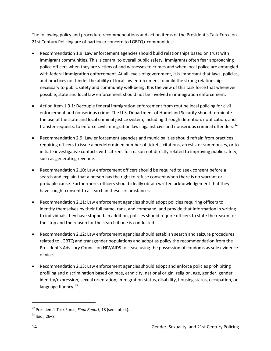The following policy and procedure recommendations and action items of the President's Task Force on 21st Century Policing are of particular concern to LGBTQ+ communities:

- Recommendation 1.9: Law enforcement agencies should build relationships based on trust with immigrant communities. This is central to overall public safety. Immigrants often fear approaching police officers when they are victims of and witnesses to crimes and when local police are entangled with federal immigration enforcement. At all levels of government, it is important that laws, policies, and practices not hinder the ability of local law enforcement to build the strong relationships necessary to public safety and community well-being. It is the view of this task force that whenever possible, state and local law enforcement should not be involved in immigration enforcement.
- Action Item 1.9.1: Decouple federal immigration enforcement from routine local policing for civil enforcement and nonserious crime. The U.S. Department of Homeland Security should terminate the use of the state and local criminal justice system, including through detention, notification, and transfer requests, to enforce civil immigration laws against civil and nonserious criminal offenders.<sup>[22](#page-19-0)</sup>
- Recommendation 2.9: Law enforcement agencies and municipalities should refrain from practices requiring officers to issue a predetermined number of tickets, citations, arrests, or summonses, or to initiate investigative contacts with citizens for reason not directly related to improving public safety, such as generating revenue.
- Recommendation 2.10: Law enforcement officers should be required to seek consent before a search and explain that a person has the right to refuse consent when there is no warrant or probable cause. Furthermore, officers should ideally obtain written acknowledgement that they have sought consent to a search in these circumstances.
- Recommendation 2.11: Law enforcement agencies should adopt policies requiring officers to identify themselves by their full name, rank, and command, and provide that information in writing to individuals they have stopped. In addition, policies should require officers to state the reason for the stop and the reason for the search if one is conducted.
- Recommendation 2.12: Law enforcement agencies should establish search and seizure procedures related to LGBTQ and transgender populations and adopt as policy the recommendation from the President's Advisory Council on HIV/AIDS to cease using the possession of condoms as sole evidence of vice.
- Recommendation 2.13: Law enforcement agencies should adopt and enforce policies prohibiting profiling and discrimination based on race, ethnicity, national origin, religion, age, gender, gender identity/expression, sexual orientation, immigration status, disability, housing status, occupation, or language fluency.<sup>[23](#page-19-1)</sup>

<span id="page-19-0"></span><sup>22</sup> President's Task Force, *Final Report,* 18 (see note 4).

<span id="page-19-1"></span><sup>23</sup> Ibid.*,* 26–8.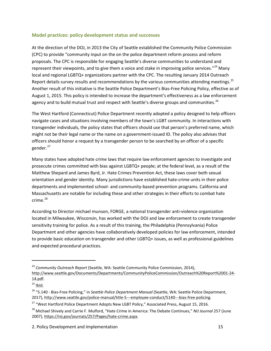### <span id="page-20-0"></span>**Model practices: policy development status and successes**

At the direction of the DOJ, in 2013 the City of Seattle established the Community Police Commission (CPC) to provide "community input on the on the police department reform process and reform proposals. The CPC is responsible for engaging Seattle's diverse communities to understand and represent their viewpoints, and to give them a voice and stake in improving police services."<sup>[24](#page-20-1)</sup> Many local and regional LGBTQ+ organizations partner with the CPC. The resulting January 2014 Outreach Report details survey results and recommendations by the various communities attending meetings.<sup>[25](#page-20-2)</sup> Another result of this initiative is the Seattle Police Department's Bias-Free Policing Policy, effective as of August 1, 2015. This policy is intended to increase the department's effectiveness as a law enforcement agency and to build mutual trust and respect with Seattle's diverse groups and communities.<sup>26</sup>

The West Hartford (Connecticut) Police Department recently adopted a policy designed to help officers navigate cases and situations involving members of the town's LGBT community. In interactions with transgender individuals, the policy states that officers should use that person's preferred name, which might not be their legal name or the name on a government-issued ID. The policy also advises that officers should honor a request by a transgender person to be searched by an officer of a specific gender.<sup>27</sup>

Many states have adopted hate crime laws that require law enforcement agencies to investigate and prosecute crimes committed with bias against LGBTQ+ people; at the federal level, as a result of the Matthew Shepard and James Byrd, Jr. Hate Crimes Prevention Act, these laws cover both sexual orientation and gender identity. Many jurisdictions have established hate-crime units in their police departments and implemented school- and community-based prevention programs. California and Massachusetts are notable for including these and other strategies in their efforts to combat hate crime.<sup>[28](#page-20-5)</sup>

According to Director michael munson, FORGE, a national transgender anti-violence organization located in Milwaukee, Wisconsin, has worked with the DOJ and law enforcement to create transgender sensitivity training for police. As a result of this training, the Philadelphia (Pennsylvania) Police Department and other agencies have collaboratively developed policies for law enforcement, intended to provide basic education on transgender and other LGBTQ+ issues, as well as professional guidelines and expected procedural practices.

<span id="page-20-1"></span><sup>24</sup> *Community Outreach Report* (Seattle, WA: Seattle Community Police Commission, 2014), [http://www.seattle.gov/Documents/Departments/CommunityPoliceCommission/Outreach%20Report%2001-24-](http://www.seattle.gov/Documents/Departments/CommunityPoliceCommission/Outreach%20Report%2001-24-14.pdf) [14.pdf.](http://www.seattle.gov/Documents/Departments/CommunityPoliceCommission/Outreach%20Report%2001-24-14.pdf)

<span id="page-20-2"></span> $25$  Ibid.

<span id="page-20-3"></span><sup>26 &</sup>quot;5.140 - Bias-Free Policing," in *Seattle Police Department Manual* (Seattle, WA: Seattle Police Department, 2017), http://www.seattle.gov/police-manual/title-5---employee-conduct/5140---bias-free-policing.

<span id="page-20-4"></span><sup>&</sup>lt;sup>27</sup> "West Hartford Police Department Adopts New LGBT Policy," Associated Press, August 15, 2016.

<span id="page-20-5"></span><sup>28</sup> Michael Shively and Carrie F. Mulford, "Hate Crime in America: The Debate Continues," *NIJ Journal* 257 (June 2007), https://nij.gov/journals/257/Pages/hate-crime.aspx.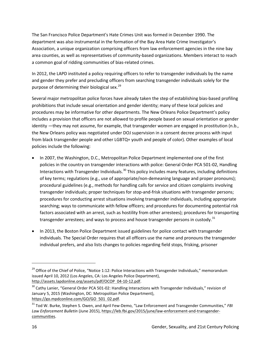The San Francisco Police Department's Hate Crimes Unit was formed in December 1990. The department was also instrumental in the formation of the Bay Area Hate Crime Investigator's Association, a unique organization comprising officers from law enforcement agencies in the nine bay area counties, as well as representatives of community-based organizations. Members interact to reach a common goal of ridding communities of bias-related crimes.

In 2012, the LAPD instituted a policy requiring officers to refer to transgender individuals by the name and gender they prefer and precluding officers from searching transgender individuals solely for the purpose of determining their biological sex.<sup>[29](#page-21-0)</sup>

Several major metropolitan police forces have already taken the step of establishing bias-based profiling prohibitions that include sexual orientation and gender identity; many of these local policies and procedures may be informative for other departments. The New Orleans Police Department's policy includes a provision that officers are not allowed to profile people based on sexual orientation or gender identity —they may not assume, for example, that transgender women are engaged in prostitution (n.b., the New Orleans policy was negotiated under DOJ supervision in a consent decree process with input from black transgender people and other LGBTQ+ youth and people of color). Other examples of local policies include the following:

- In 2007, the Washington, D.C., Metropolitan Police Department implemented one of the first policies in the country on transgender interactions with police: General Order PCA 501-02, Handling Interactions with Transgender Individuals.<sup>[30](#page-21-1)</sup> This policy includes many features, including definitions of key terms; regulations (e.g., use of appropriate/non-demeaning language and proper pronouns); procedural guidelines (e.g., methods for handling calls for service and citizen complaints involving transgender individuals; proper techniques for stop-and-frisk situations with transgender persons; procedures for conducting arrest situations involving transgender individuals, including appropriate searching; ways to communicate with fellow officers; and procedures for documenting potential risk factors associated with an arrest, such as hostility from other arrestees); procedures for transporting transgender arrestees; and ways to process and house transgender persons in custody.<sup>[31](#page-21-2)</sup>
- In 2013, the Boston Police Department issued guidelines for police contact with transgender individuals. The Special Order requires that all officers use the name and pronouns the transgender individual prefers, and also lists changes to policies regarding field stops, frisking, prisoner

<span id="page-21-0"></span><sup>&</sup>lt;sup>29</sup> Office of the Chief of Police, "Notice 1:12: Police Interactions with Transgender Individuals," memorandum issued April 10, 2012 (Los Angeles, CA: Los Angeles Police Department), http://assets.lapdonline.org/assets/pdf/OCOP\_04-10-12.pdf.

<span id="page-21-1"></span><sup>&</sup>lt;sup>30</sup> Cathy Lanier, "General Order PCA 501-02: Handling Interactions with Transgender Individuals," revision of January 5, 2015 (Washington, DC: Metropolitan Police Department), https://go.mpdconline.com/GO/GO\_501\_02.pdf.

<span id="page-21-2"></span><sup>31</sup> Tod W. Burke, Stephen S. Owen, and April Few-Demo, "Law Enforcement and Transgender Communities," *FBI Law Enforcement Bulletin* (June 2015), [https://leb.fbi.gov/2015/june/law-enforcement-and-transgender](https://leb.fbi.gov/2015/june/law-enforcement-and-transgender-communities)[communities.](https://leb.fbi.gov/2015/june/law-enforcement-and-transgender-communities)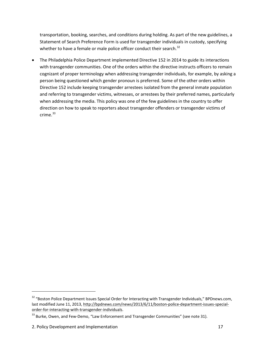transportation, booking, searches, and conditions during holding. As part of the new guidelines, a Statement of Search Preference Form is used for transgender individuals in custody, specifying whether to have a female or male police officer conduct their search. $32$ 

• The Philadelphia Police Department implemented Directive 152 in 2014 to guide its interactions with transgender communities. One of the orders within the directive instructs officers to remain cognizant of proper terminology when addressing transgender individuals, for example, by asking a person being questioned which gender pronoun is preferred. Some of the other orders within Directive 152 include keeping transgender arrestees isolated from the general inmate population and referring to transgender victims, witnesses, or arrestees by their preferred names, particularly when addressing the media. This policy was one of the few guidelines in the country to offer direction on how to speak to reporters about transgender offenders or transgender victims of crime. $33$ 

<span id="page-22-0"></span><sup>&</sup>lt;sup>32</sup> "Boston Police Department Issues Special Order for Interacting with Transgender Individuals," BPDnews.com, last modified June 11, 2013, [http://bpdnews.com/news/2013/6/11/boston-police-department-issues-special](http://bpdnews.com/news/2013/6/11/boston-police-department-issues-special-order-for-interacting-with-transgender-individuals)[order-for-interacting-with-transgender-individuals.](http://bpdnews.com/news/2013/6/11/boston-police-department-issues-special-order-for-interacting-with-transgender-individuals)

<span id="page-22-1"></span><sup>&</sup>lt;sup>33</sup> Burke, Owen, and Few-Demo, "Law Enforcement and Transgender Communities" (see note 31).

<sup>2.</sup> Policy Development and Implementation 17 and 17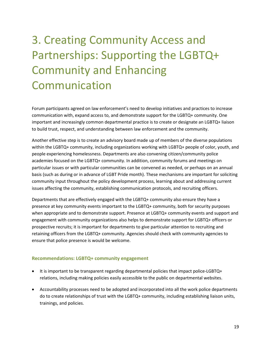# <span id="page-24-0"></span>3. Creating Community Access and Partnerships: Supporting the LGBTQ+ Community and Enhancing Communication

Forum participants agreed on law enforcement's need to develop initiatives and practices to increase communication with, expand access to, and demonstrate support for the LGBTQ+ community. One important and increasingly common departmental practice is to create or designate an LGBTQ+ liaison to build trust, respect, and understanding between law enforcement and the community.

Another effective step is to create an advisory board made up of members of the diverse populations within the LGBTQ+ community, including organizations working with LGBTQ+ people of color, youth, and people experiencing homelessness. Departments are also convening citizen/community police academies focused on the LGBTQ+ community. In addition, community forums and meetings on particular issues or with particular communities can be convened as needed, or perhaps on an annual basis (such as during or in advance of LGBT Pride month). These mechanisms are important for soliciting community input throughout the policy development process, learning about and addressing current issues affecting the community, establishing communication protocols, and recruiting officers.

Departments that are effectively engaged with the LGBTQ+ community also ensure they have a presence at key community events important to the LGBTQ+ community, both for security purposes when appropriate and to demonstrate support. Presence at LGBTQ+ community events and support and engagement with community organizations also helps to demonstrate support for LGBTQ+ officers or prospective recruits; it is important for departments to give particular attention to recruiting and retaining officers from the LGBTQ+ community. Agencies should check with community agencies to ensure that police presence is would be welcome.

### <span id="page-24-1"></span>**Recommendations: LGBTQ+ community engagement**

- It is important to be transparent regarding departmental policies that impact police-LGBTQ+ relations, including making policies easily accessible to the public on departmental websites.
- Accountability processes need to be adopted and incorporated into all the work police departments do to create relationships of trust with the LGBTQ+ community, including establishing liaison units, trainings, and policies.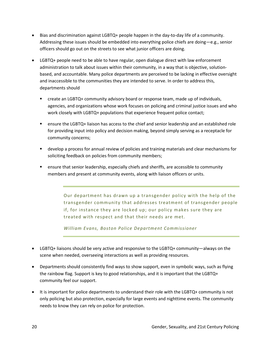- Bias and discrimination against LGBTQ+ people happen in the day-to-day life of a community. Addressing these issues should be embedded into everything police chiefs are doing—e.g., senior officers should go out on the streets to see what junior officers are doing.
- LGBTQ+ people need to be able to have regular, open dialogue direct with law enforcement administration to talk about issues within their community, in a way that is objective, solutionbased, and accountable. Many police departments are perceived to be lacking in effective oversight and inaccessible to the communities they are intended to serve. In order to address this, departments should
	- create an LGBTQ+ community advisory board or response team, made up of individuals, agencies, and organizations whose work focuses on policing and criminal justice issues and who work closely with LGBTQ+ populations that experience frequent police contact;
	- **EXECT** ensure the LGBTQ+ liaison has access to the chief and senior leadership and an established role for providing input into policy and decision making, beyond simply serving as a receptacle for community concerns;
	- develop a process for annual review of policies and training materials and clear mechanisms for soliciting feedback on policies from community members;
	- ensure that senior leadership, especially chiefs and sheriffs, are accessible to community members and present at community events, along with liaison officers or units.

Our department has drawn up a transgender policy with the help of the transgender community that addresses treatment of transgender people if, for instance they are locked up; our policy makes sure they are treated with respect and that their needs are met.

*William Evans, Boston Police Department Commissioner*

- LGBTQ+ liaisons should be very active and responsive to the LGBTQ+ community—always on the scene when needed, overseeing interactions as well as providing resources.
- Departments should consistently find ways to show support, even in symbolic ways, such as flying the rainbow flag. Support is key to good relationships, and it is important that the LGBTQ+ community feel our support.
- It is important for police departments to understand their role with the LGBTQ+ community is not only policing but also protection, especially for large events and nighttime events. The community needs to know they can rely on police for protection.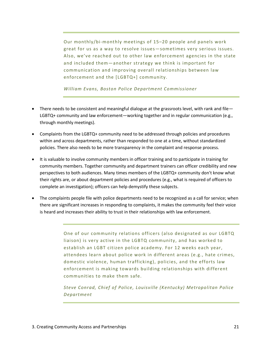Our monthly/bi-monthly meetings of 15–20 people and panels work great for us as a way to resolve issues—sometimes very serious issues. Also, we've reached out to other law enforcement agencies in the state and included them—another strategy we think is important for communication and improving overall relationships between law enforcement and the [LGBTQ+] community.

*William Evans, Boston Police Department Commissioner*

- There needs to be consistent and meaningful dialogue at the grassroots level, with rank and file— LGBTQ+ community and law enforcement—working together and in regular communication (e.g., through monthly meetings).
- Complaints from the LGBTQ+ community need to be addressed through policies and procedures within and across departments, rather than responded to one at a time, without standardized policies. There also needs to be more transparency in the complaint and response process.
- It is valuable to involve community members in officer training and to participate in training for community members. Together community and department trainers can officer credibility and new perspectives to both audiences. Many times members of the LGBTQ+ community don't know what their rights are, or about department policies and procedures (e.g., what is required of officers to complete an investigation); officers can help demystify these subjects.
- The complaints people file with police departments need to be recognized as a call for service; when there are significant increases in responding to complaints, it makes the community feel their voice is heard and increases their ability to trust in their relationships with law enforcement.

One of our community relations officers (also designated as our LGBTQ liaison) is very active in the LGBTQ community, and has worked to establish an LGBT citizen police academy. For 12 weeks each year, attendees learn about police work in different areas (e.g., hate crimes, domestic violence, human trafficking), policies, and the efforts law enforcement is making towards building relationships with different communities to make them safe.

*Steve Conrad, Chief of Police, Louisville (Kentucky) Metropolitan Police Department*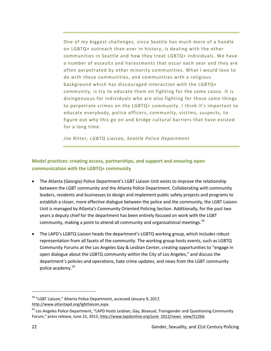One of my biggest challenges, since Seattle has much more of a handle on LGBTQ+ outreach than ever in history, is dealing with the other communities in Seattle and how they treat LGBTQ+ individuals. We have a number of assaults and harassments that occur each year and they are often perpetrated by other minority communities. What I would love to do with these communities, and communities with a religious background which has discouraged interaction with the LGBTQ+ community, is try to educate them on fighting for the same cause. It is disingenuous for individuals who are also fighting for those same things to perpetrate crimes on the LGBTQ+ community. I think it's important to educate everybody, police officers, community, victims, suspects, to figure out why this go on and bridge cultural barriers that have existed for a long time.

*Jim Ritter, LGBTQ Liaison, Seattle Police Department* 

### <span id="page-27-0"></span>**Model practices: creating access, partnerships, and support and ensuring open communication with the LGBTQ+ community**

- The Atlanta (Georgia) Police Department's LGBT Liaison Unit exists to improve the relationship between the LGBT community and the Atlanta Police Department. Collaborating with community leaders, residents and businesses to design and implement public safety projects and programs to establish a closer, more effective dialogue between the police and the community, the LGBT Liaison Unit is managed by Atlanta's Community Oriented Policing Section. Additionally, for the past two years a deputy chief for the department has been entirely focused on work with the LGBT community, making a point to attend all community and organizational meetings.  $34$
- The LAPD's LGBTQ Liaison heads the department's LGBTQ working group, which includes robust representation from all facets of the community. The working group hosts events, such as LGBTQ Community Forums at the Los Angeles Gay & Lesbian Center, creating opportunities to "engage in open dialogue about the LGBTQ community within the City of Los Angeles," and discuss the department's policies and operations, hate crime updates, and news from the LGBT community police academy. [35](#page-27-2)

<span id="page-27-1"></span><sup>&</sup>lt;sup>34</sup> "LGBT Liaison," Atlanta Police Department, accessed January 9, 2017, [http://www.atlantapd.org/lgbtliaison.aspx.](http://www.atlantapd.org/lgbtliaison.aspx)

<span id="page-27-2"></span><sup>&</sup>lt;sup>35</sup> Los Angeles Police Department, "LAPD Hosts Lesbian, Gay, Bisexual, Transgender and Questioning Community Forum," press release, June 22, 2012[, http://www.lapdonline.org/june\\_2012/news\\_view/51266.](http://www.lapdonline.org/june_2012/news_view/51266)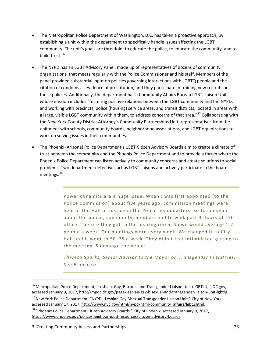- The Metropolitan Police Department of Washington, D.C. has taken a proactive approach, by establishing a unit within the department to specifically handle issues affecting the LGBT community. The unit's goals are threefold: to educate the police, to educate the community, and to build trust.<sup>[36](#page-28-0)</sup>
- The NYPD has an LGBT Advisory Panel, made up of representatives of dozens of community organizations, that meets regularly with the Police Commissioner and his staff. Members of the panel provided substantial input on policies governing interactions with LGBTQ people and the citation of condoms as evidence of prostitution, and they participate in training new recruits on these policies. Additionally, the department has a Community Affairs Bureau LGBT Liaison Unit, whose mission includes "fostering positive relations between the LGBT community and the NYPD, and working with precincts, police (housing) service areas, and transit districts, located in areas with a large, visible LGBT community within them, to address concerns of that area."<sup>[37](#page-28-1)</sup> Collaborating with the New York County District Attorney's Community Partnerships Unit, representatives from the unit meet with schools, community boards, neighborhood associations, and LGBT organizations to work on solving issues in their communities.
- The Phoenix (Arizona) Police Department's LGBT Citizen Advisory Boards aim to create a climate of trust between the community and the Phoenix Police Department and to provide a forum where the Phoenix Police Department can listen actively to community concerns and create solutions to social problems. Two department detectives act as LGBT liaisons and actively participate in the board meetings.<sup>[38](#page-28-2)</sup>

Power dynamics are a huge issue. When I was first appointed [to the Police Commission] about five years ago, commission meetings were held at the Hall of Justice in the Police headquarters. So to complain about the police, community members had to walk past 4 floors of 250 officers before they got to the hearing room. So we would average 1-2 people a week. Our meetings were every week. We changed it to City Hall and it went to 50–75 a week. They didn't feel intimidated getting to the meeting. So change the venue.

*Theresa Sparks, Senior Advisor to the Mayor on Transgender Initiatives, San Francisco*

<span id="page-28-0"></span><sup>&</sup>lt;sup>36</sup> Metropolitan Police Department, "Lesbian, Gay, Bisexual and Transgender Liaison Unit (LGBTLU)," DC.gov, accessed January 9, 2017, [http://mpdc.dc.gov/page/lesbian-gay-bisexual-and-transgender-liaison-unit-lgbtlu.](http://mpdc.dc.gov/page/lesbian-gay-bisexual-and-transgender-liaison-unit-lgbtlu)

<span id="page-28-1"></span><sup>&</sup>lt;sup>37</sup> New York Police Department, "NYPD - Lesbian Gay Bisexual Transgender Liaison Unit," City of New York, accessed January 17, 2017, [http://www.nyc.gov/html/nypd/html/community\\_affairs/lgbt.shtml.](http://www.nyc.gov/html/nypd/html/community_affairs/lgbt.shtml)

<span id="page-28-2"></span><sup>&</sup>lt;sup>38</sup> "Phoenix Police Department Citizen Advisory Boards," City of Phoenix, accessed January 9, 2017, [https://www.phoenix.gov/police/neighborhood-resources/citizen-advisory-boards.](https://www.phoenix.gov/police/neighborhood-resources/citizen-advisory-boards)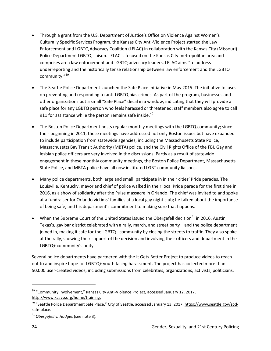- Through a grant from the U.S. Department of Justice's Office on Violence Against Women's Culturally Specific Services Program, the Kansas City Anti-Violence Project started the Law Enforcement and LGBTQ Advocacy Coalition (LELAC) in collaboration with the Kansas City (Missouri) Police Department LGBTQ Liaison. LELAC is focused on the Kansas City metropolitan area and comprises area law enforcement and LGBTQ advocacy leaders. LELAC aims "to address underreporting and the historically tense relationship between law enforcement and the LGBTQ community."<sup>39</sup>
- The Seattle Police Department launched the Safe Place Initiative in May 2015. The initiative focuses on preventing and responding to anti-LGBTQ bias crimes. As part of the program, businesses and other organizations put a small "Safe Place" decal in a window, indicating that they will provide a safe place for any LGBTQ person who feels harassed or threatened; staff members also agree to call 911 for assistance while the person remains safe inside. $40$
- The Boston Police Department hosts regular monthly meetings with the LGBTQ community; since their beginning in 2011, these meetings have addressed not only Boston issues but have expanded to include participation from statewide agencies, including the Massachusetts State Police, Massachusetts Bay Transit Authority (MBTA) police, and the Civil Rights Office of the FBI. Gay and lesbian police officers are very involved in the discussions. Partly as a result of statewide engagement in these monthly community meetings, the Boston Police Department, Massachusetts State Police, and MBTA police have all now instituted LGBT community liaisons.
- Many police departments, both large and small, participate in in their cities' Pride parades. The Louisville, Kentucky, mayor and chief of police walked in their local Pride parade for the first time in 2016, as a show of solidarity after the Pulse massacre in Orlando. The chief was invited to and spoke at a fundraiser for Orlando victims' families at a local gay night club; he talked about the importance of being safe, and his department's commitment to making sure that happens.
- When the Supreme Court of the United States issued the Obergefell decision<sup>[41](#page-29-2)</sup> in 2016, Austin, Texas's, gay bar district celebrated with a rally, march, and street party—and the police department joined in, making it safe for the LGBTQ+ community by closing the streets to traffic. They also spoke at the rally, showing their support of the decision and involving their officers and department in the LGBTQ+ community's unity.

Several police departments have partnered with the It Gets Better Project to produce videos to reach out to and inspire hope for LGBTQ+ youth facing harassment. The project has collected more than 50,000 user-created videos, including submissions from celebrities, organizations, activists, politicians,

<span id="page-29-0"></span><sup>&</sup>lt;sup>39</sup> "Community Involvement," Kansas City Anti-Violence Project, accessed January 12, 2017, [http://www.kcavp.org/home/training.](http://www.kcavp.org/home/training)

<span id="page-29-1"></span><sup>&</sup>lt;sup>40</sup> "Seattle Police Department Safe Place," City of Seattle, accessed January 13, 2017, https://www.seattle.gov/spdsafe-place.

<span id="page-29-2"></span><sup>41</sup> *Obergefell* v*. Hodges* (see note 3).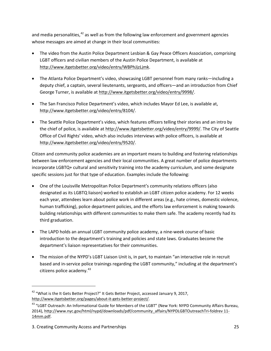and media personalities, $42$  as well as from the following law enforcement and government agencies whose messages are aimed at change in their local communities:

- The video from the Austin Police Department Lesbian & Gay Peace Officers Association, comprising LGBT officers and civilian members of the Austin Police Department, is available at [http://www.itgetsbetter.org/video/entry/WBPhJjzLjmk.](http://www.itgetsbetter.org/video/entry/WBPhJjzLjmk)
- The Atlanta Police Department's video, showcasing LGBT personnel from many ranks—including a deputy chief, a captain, several lieutenants, sergeants, and officers—and an introduction from Chief George Turner, is available at [http://www.itgetsbetter.org/video/entry/9998/.](http://www.itgetsbetter.org/video/entry/9998/)
- The San Francisco Police Department's video, which includes Mayor Ed Lee, is available at, http://www.itgetsbetter.org/video/entry/8104/.
- The Seattle Police Department's video, which features officers telling their stories and an intro by the chief of police, is available at [http://www.itgetsbetter.org/video/entry/9999/.](http://www.itgetsbetter.org/video/entry/9999/) The City of Seattle Office of Civil Rights' video, which also includes interviews with police officers, is available at [http://www.itgetsbetter.org/video/entry/9520/.](http://www.itgetsbetter.org/video/entry/9520/)

Citizen and community police academies are an important means to building and fostering relationships between law enforcement agencies and their local communities. A great number of police departments incorporate LGBTQ+ cultural and sensitivity training into the academy curriculum, and some designate specific sessions just for that type of education. Examples include the following:

- One of the Louisville Metropolitan Police Department's community relations officers (also designated as its LGBTQ liaison) worked to establish an LGBT citizen police academy. For 12 weeks each year, attendees learn about police work in different areas (e.g., hate crimes, domestic violence, human trafficking), police department policies, and the efforts law enforcement is making towards building relationships with different communities to make them safe. The academy recently had its third graduation.
- The LAPD holds an annual LGBT community police academy, a nine-week course of basic introduction to the department's training and policies and state laws. Graduates become the department's liaison representatives for their communities.
- The mission of the NYPD's LGBT Liaison Unit is, in part, to maintain "an interactive role in recruit based and in-service police trainings regarding the LGBT community," including at the department's citizens police academy. [43](#page-30-1)

<span id="page-30-0"></span><sup>&</sup>lt;sup>42</sup> "What is the It Gets Better Project?" It Gets Better Project, accessed January 9, 2017, http://www.itgetsbetter.org/pages/about-it-gets-better-project/.

<span id="page-30-1"></span><sup>&</sup>lt;sup>43</sup> "LGBT Outreach: An Informational Guide for Members of the LGBT" (New York: NYPD Community Affairs Bureau, 2014), [http://www.nyc.gov/html/nypd/downloads/pdf/community\\_affairs/NYPDLGBTOutreachTri-foldrev 11-](http://www.nyc.gov/html/nypd/downloads/pdf/community_affairs/NYPDLGBTOutreachTri-foldrev%252011-14mm.pdf) [14mm.pdf.](http://www.nyc.gov/html/nypd/downloads/pdf/community_affairs/NYPDLGBTOutreachTri-foldrev%252011-14mm.pdf)

<sup>3.</sup> Creating Community Access and Partnerships 25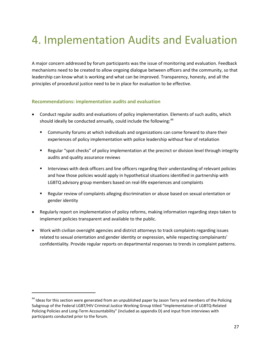### <span id="page-32-0"></span>4. Implementation Audits and Evaluation

A major concern addressed by forum participants was the issue of monitoring and evaluation. Feedback mechanisms need to be created to allow ongoing dialogue between officers and the community, so that leadership can know what is working and what can be improved. Transparency, honesty, and all the principles of procedural justice need to be in place for evaluation to be effective.

#### <span id="page-32-1"></span>**Recommendations: implementation audits and evaluation**

- Conduct regular audits and evaluations of policy implementation. Elements of such audits, which should ideally be conducted annually, could include the following:<sup>[44](#page-32-2)</sup>
	- Community forums at which individuals and organizations can come forward to share their experiences of policy implementation with police leadership without fear of retaliation
	- **EXECT** Regular "spot checks" of policy implementation at the precinct or division level through integrity audits and quality assurance reviews
	- **Interviews with desk officers and line officers regarding their understanding of relevant policies** and how those policies would apply in hypothetical situations identified in partnership with LGBTQ advisory group members based on real-life experiences and complaints
	- Regular review of complaints alleging discrimination or abuse based on sexual orientation or gender identity
- Regularly report on implementation of policy reforms, making information regarding steps taken to implement policies transparent and available to the public.
- Work with civilian oversight agencies and district attorneys to track complaints regarding issues related to sexual orientation and gender identity or expression, while respecting complainants' confidentiality. Provide regular reports on departmental responses to trends in complaint patterns.

<span id="page-32-2"></span><sup>&</sup>lt;sup>44</sup> Ideas for this section were generated from an unpublished paper by Jason Terry and members of the Policing Subgroup of the Federal LGBT/HIV Criminal Justice Working Group titled "Implementation of LGBTQ-Related Policing Policies and Long-Term Accountability" (included as appendix D) and input from interviews with participants conducted prior to the forum.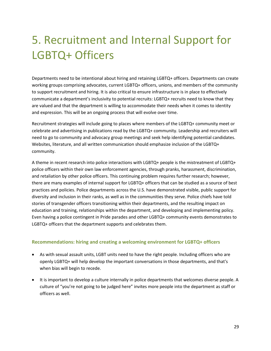# <span id="page-34-0"></span>5. Recruitment and Internal Support for LGBTQ+ Officers

Departments need to be intentional about hiring and retaining LGBTQ+ officers. Departments can create working groups comprising advocates, current LGBTQ+ officers, unions, and members of the community to support recruitment and hiring. It is also critical to ensure infrastructure is in place to effectively communicate a department's inclusivity to potential recruits: LGBTQ+ recruits need to know that they are valued and that the department is willing to accommodate their needs when it comes to identity and expression. This will be an ongoing process that will evolve over time.

Recruitment strategies will include going to places where members of the LGBTQ+ community meet or celebrate and advertising in publications read by the LGBTQ+ community. Leadership and recruiters will need to go to community and advocacy group meetings and seek help identifying potential candidates. Websites, literature, and all written communication should emphasize inclusion of the LGBTQ+ community.

A theme in recent research into police interactions with LGBTQ+ people is the mistreatment of LGBTQ+ police officers within their own law enforcement agencies, through pranks, harassment, discrimination, and retaliation by other police officers. This continuing problem requires further research; however, there are many examples of internal support for LGBTQ+ officers that can be studied as a source of best practices and policies. Police departments across the U.S. have demonstrated visible, public support for diversity and inclusion in their ranks, as well as in the communities they serve. Police chiefs have told stories of transgender officers transitioning within their departments, and the resulting impact on education and training, relationships within the department, and developing and implementing policy. Even having a police contingent in Pride parades and other LGBTQ+ community events demonstrates to LGBTQ+ officers that the department supports and celebrates them.

#### <span id="page-34-1"></span>**Recommendations: hiring and creating a welcoming environment for LGBTQ+ officers**

- As with sexual assault units, LGBT units need to have the right people. Including officers who are openly LGBTQ+ will help develop the important conversations in those departments, and that's when bias will begin to recede.
- It is important to develop a culture internally in police departments that welcomes diverse people. A culture of "you're not going to be judged here" invites more people into the department as staff or officers as well.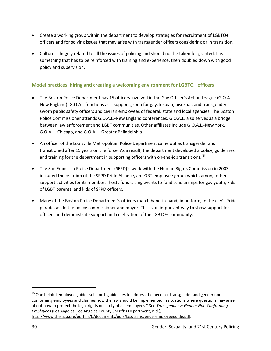- Create a working group within the department to develop strategies for recruitment of LGBTQ+ officers and for solving issues that may arise with transgender officers considering or in transition.
- Culture is hugely related to all the issues of policing and should not be taken for granted. It is something that has to be reinforced with training and experience, then doubled down with good policy and supervision.

### <span id="page-35-0"></span>**Model practices: hiring and creating a welcoming environment for LGBTQ+ officers**

- The Boston Police Department has 15 officers involved in the Gay Officer's Action League (G.O.A.L.- New England). G.O.A.L functions as a support group for gay, lesbian, bisexual, and transgender sworn public safety officers and civilian employees of federal, state and local agencies. The Boston Police Commissioner attends G.O.A.L.-New England conferences. G.O.A.L. also serves as a bridge between law enforcement and LGBT communities. Other affiliates include G.O.A.L.-New York, G.O.A.L.-Chicago, and G.O.A.L.-Greater Philadelphia.
- An officer of the Louisville Metropolitan Police Department came out as transgender and transitioned after 15 years on the force. As a result, the department developed a policy, guidelines, and training for the department in supporting officers with on-the-job transitions.<sup>[45](#page-35-1)</sup>
- The San Francisco Police Department (SFPD)'s work with the Human Rights Commission in 2003 included the creation of the SFPD Pride Alliance, an LGBT employee group which, among other support activities for its members, hosts fundraising events to fund scholarships for gay youth, kids of LGBT parents, and kids of SFPD officers.
- Many of the Boston Police Department's officers march hand-in-hand, in uniform, in the city's Pride parade, as do the police commissioner and mayor. This is an important way to show support for officers and demonstrate support and celebration of the LGBTQ+ community.

<span id="page-35-1"></span><sup>&</sup>lt;sup>45</sup> One helpful employee guide "sets forth guidelines to address the needs of transgender and gender nonconforming employees and clarifies how the law should be implemented in situations where questions may arise about how to protect the legal rights or safety of all employees." See *Transgender & Gender Non-Conforming Employees* (Los Angeles: Los Angeles County Sheriff's Department, n.d.), [http://www.theiacp.org/portals/0/documents/pdfs/lasdtransgenderemployeeguide.pdf.](http://www.theiacp.org/portals/0/documents/pdfs/lasdtransgenderemployeeguide.pdf)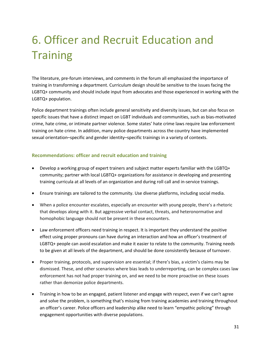# 6. Officer and Recruit Education and **Training**

The literature, pre-forum interviews, and comments in the forum all emphasized the importance of training in transforming a department. Curriculum design should be sensitive to the issues facing the LGBTQ+ community and should include input from advocates and those experienced in working with the LGBTQ+ population.

Police department trainings often include general sensitivity and diversity issues, but can also focus on specific issues that have a distinct impact on LGBT individuals and communities, such as bias-motivated crime, hate crime, or intimate partner violence. Some states' hate crime laws require law enforcement training on hate crime. In addition, many police departments across the country have implemented sexual orientation–specific and gender identity–specific trainings in a variety of contexts.

#### **Recommendations: officer and recruit education and training**

- Develop a working group of expert trainers and subject matter experts familiar with the LGBTQ+ community; partner with local LGBTQ+ organizations for assistance in developing and presenting training curricula at all levels of an organization and during roll call and in-service trainings.
- Ensure trainings are tailored to the community. Use diverse platforms, including social media.
- When a police encounter escalates, especially an encounter with young people, there's a rhetoric that develops along with it. But aggressive verbal contact, threats, and heteronormative and homophobic language should not be present in these encounters.
- Law enforcement officers need training in respect. It is important they understand the positive effect using proper pronouns can have during an interaction and how an officer's treatment of LGBTQ+ people can avoid escalation and make it easier to relate to the community. Training needs to be given at all levels of the department, and should be done consistently because of turnover.
- Proper training, protocols, and supervision are essential; if there's bias, a victim's claims may be dismissed. These, and other scenarios where bias leads to underreporting, can be complex cases law enforcement has not had proper training on, and we need to be more proactive on these issues rather than demonize police departments.
- Training in how to be an engaged, patient listener and engage with respect, even if we can't agree and solve the problem, is something that's missing from training academies and training throughout an officer's career. Police officers and leadership alike need to learn "empathic policing" through engagement opportunities with diverse populations.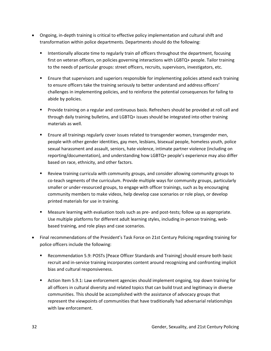- Ongoing, in-depth training is critical to effective policy implementation and cultural shift and transformation within police departments. Departments should do the following:
	- **Intentionally allocate time to regularly train** *all* **officers throughout the department, focusing** first on veteran officers, on policies governing interactions with LGBTQ+ people. Tailor training to the needs of particular groups: street officers, recruits, supervisors, investigators, etc.
	- **Ensure that supervisors and superiors responsible for implementing policies attend each training** to ensure officers take the training seriously to better understand and address officers' challenges in implementing policies, and to reinforce the potential consequences for failing to abide by policies.
	- **Provide training on a regular and continuous basis. Refreshers should be provided at roll call and** through daily training bulletins, and LGBTQ+ issues should be integrated into other training materials as well.
	- **Ensure all trainings regularly cover issues related to transgender women, transgender men,** people with other gender identities, gay men, lesbians, bisexual people, homeless youth, police sexual harassment and assault, seniors, hate violence, intimate partner violence (including on reporting/documentation), and understanding how LGBTQ+ people's experience may also differ based on race, ethnicity, and other factors.
	- Review training curricula with community groups, and consider allowing community groups to co-teach segments of the curriculum. Provide multiple ways for community groups, particularly smaller or under-resourced groups, to engage with officer trainings, such as by encouraging community members to make videos, help develop case scenarios or role plays, or develop printed materials for use in training.
	- Measure learning with evaluation tools such as pre- and post-tests; follow up as appropriate. Use multiple platforms for different adult learning styles, including in-person training, webbased training, and role plays and case scenarios.
- Final recommendations of the President's Task Force on 21st Century Policing regarding training for police officers include the following:
	- Recommendation 5.9: POSTs [Peace Officer Standards and Training] should ensure both basic recruit and in-service training incorporates content around recognizing and confronting implicit bias and cultural responsiveness.
	- Action Item 5.9.1: Law enforcement agencies should implement ongoing, top down training for all officers in cultural diversity and related topics that can build trust and legitimacy in diverse communities. This should be accomplished with the assistance of advocacy groups that represent the viewpoints of communities that have traditionally had adversarial relationships with law enforcement.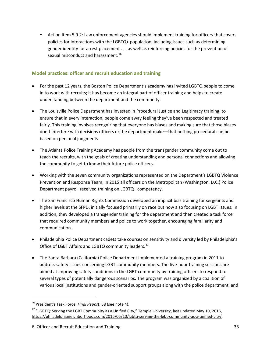**EXECT** Action Item 5.9.2: Law enforcement agencies should implement training for officers that covers policies for interactions with the LGBTQ+ population, including issues such as determining gender identity for arrest placement . . . as well as reinforcing policies for the prevention of sexual misconduct and harassment.<sup>[46](#page-38-0)</sup>

## **Model practices: officer and recruit education and training**

- For the past 12 years, the Boston Police Department's academy has invited LGBTQ people to come in to work with recruits; it has become an integral part of officer training and helps to create understanding between the department and the community.
- The Louisville Police Department has invested in Procedural Justice and Legitimacy training, to ensure that in every interaction, people come away feeling they've been respected and treated fairly. This training involves recognizing that everyone has biases and making sure that those biases don't interfere with decisions officers or the department make—that nothing procedural can be based on personal judgments.
- The Atlanta Police Training Academy has people from the transgender community come out to teach the recruits, with the goals of creating understanding and personal connections and allowing the community to get to know their future police officers.
- Working with the seven community organizations represented on the Department's LGBTQ Violence Prevention and Response Team, in 2015 all officers on the Metropolitan (Washington, D.C.) Police Department payroll received training on LGBTQ+ competency.
- The San Francisco Human Rights Commission developed an implicit bias training for sergeants and higher levels at the SFPD, initially focused primarily on race but now also focusing on LGBT issues. In addition, they developed a transgender training for the department and then created a task force that required community members and police to work together, encouraging familiarity and communication.
- Philadelphia Police Department cadets take courses on sensitivity and diversity led by Philadelphia's Office of LGBT Affairs and LGBTQ community leaders.<sup>[47](#page-38-1)</sup>
- The Santa Barbara (California) Police Department implemented a training program in 2011 to address safety issues concerning LGBT community members. The five-hour training sessions are aimed at improving safety conditions in the LGBT community by training officers to respond to several types of potentially dangerous scenarios. The program was organized by a coalition of various local institutions and gender-oriented support groups along with the police department, and

 $\overline{\phantom{a}}$ 

<span id="page-38-0"></span><sup>46</sup> President's Task Force, *Final Report*, 58 (see note 4).

<span id="page-38-1"></span><sup>&</sup>lt;sup>47</sup> "LGBTQ: Serving the LGBT Community as a Unified City," Temple University, last updated May 10, 2016, [https://philadelphianeighborhoods.com/2016/05/10/lgbtq-serving-the-lgbt-community-as-a-unified-city/.](https://philadelphianeighborhoods.com/2016/05/10/lgbtq-serving-the-lgbt-community-as-a-unified-city/)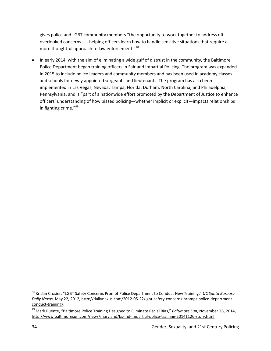gives police and LGBT community members "the opportunity to work together to address oftoverlooked concerns . . . helping officers learn how to handle sensitive situations that require a more thoughtful approach to law enforcement."<sup>48</sup>

• In early 2014, with the aim of eliminating a wide gulf of distrust in the community, the Baltimore Police Department began training officers in Fair and Impartial Policing. The program was expanded in 2015 to include police leaders and community members and has been used in academy classes and schools for newly appointed sergeants and lieutenants. The program has also been implemented in Las Vegas, Nevada; Tampa, Florida; Durham, North Carolina; and Philadelphia, Pennsylvania, and is "part of a nationwide effort promoted by the Department of Justice to enhance officers' understanding of how biased policing—whether implicit or explicit—impacts relationships in fighting crime."<sup>[49](#page-39-1)</sup>

 $\overline{\phantom{a}}$ 

<span id="page-39-0"></span><sup>48</sup> Kristin Crosier, "LGBT Safety Concerns Prompt Police Department to Conduct New Training," *UC Santa Barbara Daily Nexus*, May 22, 2012, [http://dailynexus.com/2012-05-22/lgbt-safety-concerns-prompt-police-department](http://dailynexus.com/2012-05-22/lgbt-safety-concerns-prompt-police-department-conduct-training/)[conduct-training/.](http://dailynexus.com/2012-05-22/lgbt-safety-concerns-prompt-police-department-conduct-training/)

<span id="page-39-1"></span><sup>49</sup> Mark Puente, "Baltimore Police Training Designed to Eliminate Racial Bias," *Baltimore Sun,* November 26, 2014, [http://www.baltimoresun.com/news/maryland/bs-md-impartial-police-training-20141126-story.html.](http://www.baltimoresun.com/news/maryland/bs-md-impartial-police-training-20141126-story.html)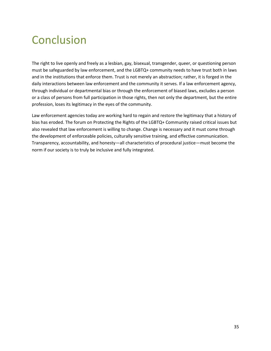## **Conclusion**

The right to live openly and freely as a lesbian, gay, bisexual, transgender, queer, or questioning person must be safeguarded by law enforcement, and the LGBTQ+ community needs to have trust both in laws and in the institutions that enforce them. Trust is not merely an abstraction; rather, it is forged in the daily interactions between law enforcement and the community it serves. If a law enforcement agency, through individual or departmental bias or through the enforcement of biased laws, excludes a person or a class of persons from full participation in those rights, then not only the department, but the entire profession, loses its legitimacy in the eyes of the community.

Law enforcement agencies today are working hard to regain and restore the legitimacy that a history of bias has eroded. The forum on Protecting the Rights of the LGBTQ+ Community raised critical issues but also revealed that law enforcement is willing to change. Change is necessary and it must come through the development of enforceable policies, culturally sensitive training, and effective communication. Transparency, accountability, and honesty—all characteristics of procedural justice—must become the norm if our society is to truly be inclusive and fully integrated.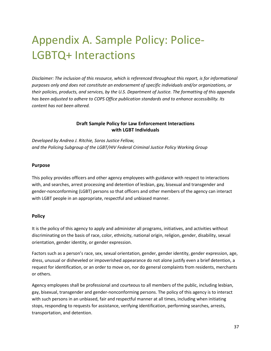## Appendix A. Sample Policy: Police-LGBTQ+ Interactions

*Disclaimer: The inclusion of this resource, which is referenced throughout this report, is for informational purposes only and does not constitute an endorsement of specific individuals and/or organizations, or their policies, products, and services, by the U.S. Department of Justice. The formatting of this appendix has been adjusted to adhere to COPS Office publication standards and to enhance accessibility. Its content has not been altered.*

#### **Draft Sample Policy for Law Enforcement Interactions with LGBT Individuals**

*Developed by Andrea J. Ritchie, Soros Justice Fellow, and the Policing Subgroup of the LGBT/HIV Federal Criminal Justice Policy Working Group*

#### **Purpose**

This policy provides officers and other agency employees with guidance with respect to interactions with, and searches, arrest processing and detention of lesbian, gay, bisexual and transgender and gender-nonconforming (LGBT) persons so that officers and other members of the agency can interact with LGBT people in an appropriate, respectful and unbiased manner.

#### **Policy**

It is the policy of this agency to apply and administer all programs, initiatives, and activities without discriminating on the basis of race, color, ethnicity, national origin, religion, gender, disability, sexual orientation, gender identity, or gender expression.

Factors such as a person's race, sex, sexual orientation, gender, gender identity, gender expression, age, dress, unusual or disheveled or impoverished appearance do not alone justify even a brief detention, a request for identification, or an order to move on, nor do general complaints from residents, merchants or others.

Agency employees shall be professional and courteous to all members of the public, including lesbian, gay, bisexual, transgender and gender-nonconforming persons. The policy of this agency is to interact with such persons in an unbiased, fair and respectful manner at all times, including when initiating stops, responding to requests for assistance, verifying identification, performing searches, arrests, transportation, and detention.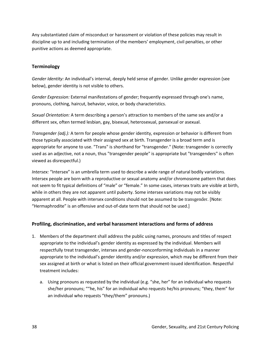Any substantiated claim of misconduct or harassment or violation of these policies may result in discipline up to and including termination of the members' employment, civil penalties, or other punitive actions as deemed appropriate.

#### **Terminology**

*Gender Identity:* An individual's internal, deeply held sense of gender. Unlike gender expression (see below), gender identity is not visible to others.

*Gender Expression:* External manifestations of gender; frequently expressed through one's name, pronouns, clothing, haircut, behavior, voice, or body characteristics.

*Sexual Orientation:* A term describing a person's attraction to members of the same sex and/or a different sex, often termed lesbian, gay, bisexual, heterosexual, pansexual or asexual.

*Transgender (adj.):* A term for people whose gender identity, expression or behavior is different from those typically associated with their assigned sex at birth. Transgender is a broad term and is appropriate for anyone to use. "Trans" is shorthand for "transgender." (Note: transgender is correctly used as an adjective, not a noun, thus "transgender people" is appropriate but "transgenders" is often viewed as disrespectful.)

*Intersex:* "Intersex" is an umbrella term used to describe a wide range of natural bodily variations. Intersex people are born with a reproductive or sexual anatomy and/or chromosome pattern that does not seem to fit typical definitions of "male" or "female." In some cases, intersex traits are visible at birth, while in others they are not apparent until puberty. Some intersex variations may not be visibly apparent at all. People with intersex conditions should not be assumed to be transgender. [Note: "Hermaphrodite" is an offensive and out-of-date term that should not be used.]

## **Profiling, discrimination, and verbal harassment interactions and forms of address**

- 1. Members of the department shall address the public using names, pronouns and titles of respect appropriate to the individual's gender identity as expressed by the individual. Members will respectfully treat transgender, intersex and gender-nonconforming individuals in a manner appropriate to the individual's gender identity and/or expression, which may be different from their sex assigned at birth or what is listed on their official government-issued identification. Respectful treatment includes:
	- a. Using pronouns as requested by the individual (e.g. "she, her" for an individual who requests she/her pronouns; ""he, his" for an individual who requests he/his pronouns; "they, them" for an individual who requests "they/them" pronouns.)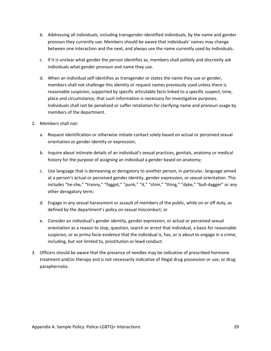- b. Addressing all individuals, including transgender-identified individuals, by the name and gender pronoun they currently use. Members should be aware that individuals' names may change between one interaction and the next, and always use the name currently used by individuals.
- c. If it is unclear what gender the person identifies as, members shall politely and discreetly ask individuals what gender pronoun and name they use.
- d. When an individual self-identifies as transgender or states the name they use or gender, members shall not challenge this identity or request names previously used unless there is reasonable suspicion, supported by specific articulable facts linked to a specific suspect, time, place and circumstance, that such information is necessary for investigative purposes. Individuals shall not be penalized or suffer retaliation for clarifying name and pronoun usage by members of the department.
- 2. Members shall not:
	- a. Request identification or otherwise initiate contact solely based on actual or perceived sexual orientation or gender identity or expression;
	- b. Inquire about intimate details of an individual's sexual practices, genitals, anatomy or medical history for the purpose of assigning an individual a gender based on anatomy;
	- c. Use language that is demeaning or derogatory to another person, in particular, language aimed at a person's actual or perceived gender identity, gender expression, or sexual orientation. This includes "he-she," "tranny," "faggot," "punk," "it," "shim," "thing," "dyke," "bull-dagger" or any other derogatory term;
	- d. Engage in any sexual harassment or assault of members of the public, while on or off duty, as defined by the department's policy on sexual misconduct; or
	- e. Consider an individual's gender identity, gender expression, or actual or perceived sexual orientation as a reason to stop, question, search or arrest that individual, a basis for reasonable suspicion, or as prima facie evidence that the individual is, has, or is about to engage in a crime, including, but not limited to, prostitution or lewd conduct.
- 3. Officers should be aware that the presence of needles may be indicative of prescribed hormone treatment and/or therapy and is not necessarily indicative of illegal drug possession or use, or drug paraphernalia.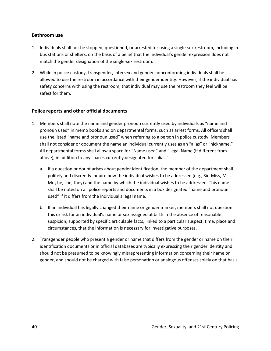#### **Bathroom use**

- 1. Individuals shall not be stopped, questioned, or arrested for using a single-sex restroom, including in bus stations or shelters, on the basis of a belief that the individual's gender expression does not match the gender designation of the single-sex restroom.
- 2. While in police custody, transgender, intersex and gender-nonconforming individuals shall be allowed to use the restroom in accordance with their gender identity. However, if the individual has safety concerns with using the restroom, that individual may use the restroom they feel will be safest for them.

#### **Police reports and other official documents**

- 1. Members shall note the name and gender pronoun currently used by individuals as "name and pronoun used" in memo books and on departmental forms, such as arrest forms. All officers shall use the listed "name and pronoun used" when referring to a person in police custody. Members shall not consider or document the name an individual currently uses as an "alias" or "nickname." All departmental forms shall allow a space for "Name used" and "Legal Name (if different from above), in addition to any spaces currently designated for "alias."
	- a. If a question or doubt arises about gender identification, the member of the department shall politely and discreetly inquire how the individual wishes to be addressed (e.g., Sir, Miss, Ms., Mr., he, she, they) and the name by which the individual wishes to be addressed. This name shall be noted on all police reports and documents in a box designated "name and pronoun used" if it differs from the individual's legal name.
	- b. If an individual has legally changed their name or gender marker, members shall not question this or ask for an individual's name or sex assigned at birth in the absence of reasonable suspicion, supported by specific articulable facts, linked to a particular suspect, time, place and circumstances, that the information is necessary for investigative purposes.
- 2. Transgender people who present a gender or name that differs from the gender or name on their identification documents or in official databases are typically expressing their gender identity and should not be presumed to be knowingly misrepresenting information concerning their name or gender, and should not be charged with false personation or analogous offenses solely on that basis.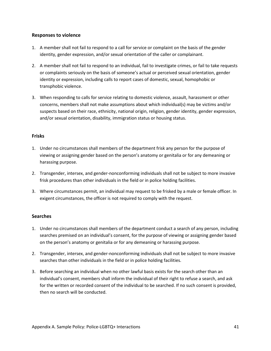#### **Responses to violence**

- 1. A member shall not fail to respond to a call for service or complaint on the basis of the gender identity, gender expression, and/or sexual orientation of the caller or complainant.
- 2. A member shall not fail to respond to an individual, fail to investigate crimes, or fail to take requests or complaints seriously on the basis of someone's actual or perceived sexual orientation, gender identity or expression, including calls to report cases of domestic, sexual, homophobic or transphobic violence.
- 3. When responding to calls for service relating to domestic violence, assault, harassment or other concerns, members shall not make assumptions about which individual(s) may be victims and/or suspects based on their race, ethnicity, national origin, religion, gender identity, gender expression, and/or sexual orientation, disability, immigration status or housing status.

#### **Frisks**

- 1. Under no circumstances shall members of the department frisk any person for the purpose of viewing or assigning gender based on the person's anatomy or genitalia or for any demeaning or harassing purpose.
- 2. Transgender, intersex, and gender-nonconforming individuals shall not be subject to more invasive frisk procedures than other individuals in the field or in police holding facilities.
- 3. Where circumstances permit, an individual may request to be frisked by a male or female officer. In exigent circumstances, the officer is not required to comply with the request.

#### **Searches**

- 1. Under no circumstances shall members of the department conduct a search of any person, including searches premised on an individual's consent, for the purpose of viewing or assigning gender based on the person's anatomy or genitalia or for any demeaning or harassing purpose.
- 2. Transgender, intersex, and gender-nonconforming individuals shall not be subject to more invasive searches than other individuals in the field or in police holding facilities.
- 3. Before searching an individual when no other lawful basis exists for the search other than an individual's consent, members shall inform the individual of their right to refuse a search, and ask for the written or recorded consent of the individual to be searched. If no such consent is provided, then no search will be conducted.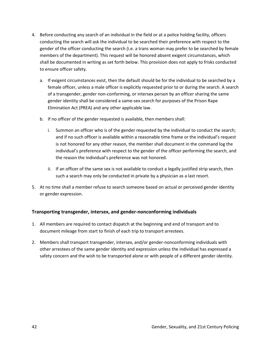- 4. Before conducting any search of an individual in the field or at a police holding facility, officers conducting the search will ask the individual to be searched their preference with respect to the gender of the officer conducting the search (i.e. a trans woman may prefer to be searched by female members of the department). This request will be honored absent exigent circumstances, which shall be documented in writing as set forth below. This provision does not apply to frisks conducted to ensure officer safety.
	- a. If exigent circumstances exist, then the default should be for the individual to be searched by a female officer, unless a male officer is explicitly requested prior to or during the search. A search of a transgender, gender non-conforming, or intersex person by an officer sharing the same gender identity shall be considered a same-sex search for purposes of the Prison Rape Elimination Act (PREA) and any other applicable law.
	- b. If no officer of the gender requested is available, then members shall:
		- i. Summon an officer who is of the gender requested by the individual to conduct the search; and if no such officer is available within a reasonable time frame or the individual's request is not honored for any other reason, the member shall document in the command log the individual's preference with respect to the gender of the officer performing the search, and the reason the individual's preference was not honored.
		- ii. If an officer of the same sex is not available to conduct a legally justified strip search, then such a search may only be conducted in private by a physician as a last resort.
- 5. At no time shall a member refuse to search someone based on actual or perceived gender identity or gender expression.

## **Transporting transgender, intersex, and gender-nonconforming individuals**

- 1. All members are required to contact dispatch at the beginning and end of transport and to document mileage from start to finish of each trip to transport arrestees.
- 2. Members shall transport transgender, intersex, and/or gender-nonconforming individuals with other arrestees of the same gender identity and expression unless the individual has expressed a safety concern and the wish to be transported alone or with people of a different gender identity.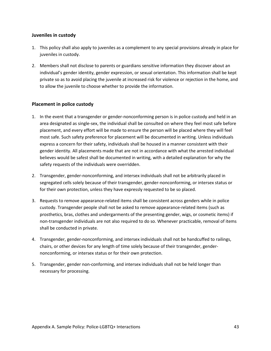#### **Juveniles in custody**

- 1. This policy shall also apply to juveniles as a complement to any special provisions already in place for juveniles in custody.
- 2. Members shall not disclose to parents or guardians sensitive information they discover about an individual's gender identity, gender expression, or sexual orientation. This information shall be kept private so as to avoid placing the juvenile at increased risk for violence or rejection in the home, and to allow the juvenile to choose whether to provide the information.

#### **Placement in police custody**

- 1. In the event that a transgender or gender-nonconforming person is in police custody and held in an area designated as single-sex, the individual shall be consulted on where they feel most safe before placement, and every effort will be made to ensure the person will be placed where they will feel most safe. Such safety preference for placement will be documented in writing. Unless individuals express a concern for their safety, individuals shall be housed in a manner consistent with their gender identity. All placements made that are not in accordance with what the arrested individual believes would be safest shall be documented in writing, with a detailed explanation for why the safety requests of the individuals were overridden.
- 2. Transgender, gender-nonconforming, and intersex individuals shall not be arbitrarily placed in segregated cells solely because of their transgender, gender-nonconforming, or intersex status or for their own protection, unless they have expressly requested to be so placed.
- 3. Requests to remove appearance-related items shall be consistent across genders while in police custody. Transgender people shall not be asked to remove appearance-related items (such as prosthetics, bras, clothes and undergarments of the presenting gender, wigs, or cosmetic items) if non-transgender individuals are not also required to do so. Whenever practicable, removal of items shall be conducted in private.
- 4. Transgender, gender-nonconforming, and intersex individuals shall not be handcuffed to railings, chairs, or other devices for any length of time solely because of their transgender, gendernonconforming, or intersex status or for their own protection.
- 5. Transgender, gender non-conforming, and intersex individuals shall not be held longer than necessary for processing.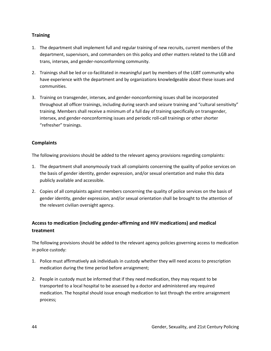## **Training**

- 1. The department shall implement full and regular training of new recruits, current members of the department, supervisors, and commanders on this policy and other matters related to the LGB and trans, intersex, and gender-nonconforming community.
- 2. Trainings shall be led or co-facilitated in meaningful part by members of the LGBT community who have experience with the department and by organizations knowledgeable about these issues and communities.
- 3. Training on transgender, intersex, and gender-nonconforming issues shall be incorporated throughout all officer trainings, including during search and seizure training and "cultural sensitivity" training. Members shall receive a minimum of a full day of training specifically on transgender, intersex, and gender-nonconforming issues and periodic roll-call trainings or other shorter "refresher" trainings.

## **Complaints**

The following provisions should be added to the relevant agency provisions regarding complaints:

- 1. The department shall anonymously track all complaints concerning the quality of police services on the basis of gender identity, gender expression, and/or sexual orientation and make this data publicly available and accessible.
- 2. Copies of all complaints against members concerning the quality of police services on the basis of gender identity, gender expression, and/or sexual orientation shall be brought to the attention of the relevant civilian oversight agency.

## **Access to medication (including gender-affirming and HIV medications) and medical treatment**

The following provisions should be added to the relevant agency policies governing access to medication in police custody:

- 1. Police must affirmatively ask individuals in custody whether they will need access to prescription medication during the time period before arraignment;
- 2. People in custody must be informed that if they need medication, they may request to be transported to a local hospital to be assessed by a doctor and administered any required medication. The hospital should issue enough medication to last through the entire arraignment process;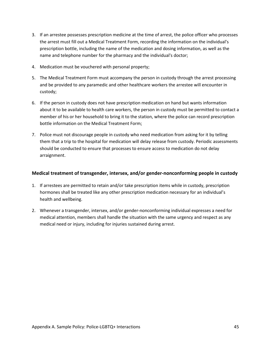- 3. If an arrestee possesses prescription medicine at the time of arrest, the police officer who processes the arrest must fill out a Medical Treatment Form, recording the information on the individual's prescription bottle, including the name of the medication and dosing information, as well as the name and telephone number for the pharmacy and the individual's doctor;
- 4. Medication must be vouchered with personal property;
- 5. The Medical Treatment Form must accompany the person in custody through the arrest processing and be provided to any paramedic and other healthcare workers the arrestee will encounter in custody;
- 6. If the person in custody does not have prescription medication on hand but wants information about it to be available to health care workers, the person in custody must be permitted to contact a member of his or her household to bring it to the station, where the police can record prescription bottle information on the Medical Treatment Form;
- 7. Police must not discourage people in custody who need medication from asking for it by telling them that a trip to the hospital for medication will delay release from custody. Periodic assessments should be conducted to ensure that processes to ensure access to medication do not delay arraignment.

#### **Medical treatment of transgender, intersex, and/or gender-nonconforming people in custody**

- 1. If arrestees are permitted to retain and/or take prescription items while in custody, prescription hormones shall be treated like any other prescription medication necessary for an individual's health and wellbeing.
- 2. Whenever a transgender, intersex, and/or gender-nonconforming individual expresses a need for medical attention, members shall handle the situation with the same urgency and respect as any medical need or injury, including for injuries sustained during arrest.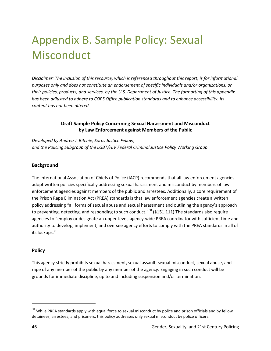# Appendix B. Sample Policy: Sexual **Misconduct**

*Disclaimer: The inclusion of this resource, which is referenced throughout this report, is for informational purposes only and does not constitute an endorsement of specific individuals and/or organizations, or their policies, products, and services, by the U.S. Department of Justice. The formatting of this appendix has been adjusted to adhere to COPS Office publication standards and to enhance accessibility. Its content has not been altered.*

#### **Draft Sample Policy Concerning Sexual Harassment and Misconduct by Law Enforcement against Members of the Public**

*Developed by Andrea J. Ritchie, Soros Justice Fellow, and the Policing Subgroup of the LGBT/HIV Federal Criminal Justice Policy Working Group*

#### **Background**

The International Association of Chiefs of Police (IACP) recommends that all law enforcement agencies adopt written policies specifically addressing sexual harassment and misconduct by members of law enforcement agencies against members of the public and arrestees. Additionally, a core requirement of the Prison Rape Elimination Act (PREA) standards is that law enforcement agencies create a written policy addressing "all forms of sexual abuse and sexual harassment and outlining the agency's approach to preventing, detecting, and responding to such conduct."<sup>[50](#page-51-0)</sup> (§151.111) The standards also require agencies to "employ or designate an upper-level, agency-wide PREA coordinator with sufficient time and authority to develop, implement, and oversee agency efforts to comply with the PREA standards in all of its lockups."

#### **Policy**

This agency strictly prohibits sexual harassment, sexual assault, sexual misconduct, sexual abuse, and rape of any member of the public by any member of the agency. Engaging in such conduct will be grounds for immediate discipline, up to and including suspension and/or termination.

 $\overline{\phantom{a}}$ 

<span id="page-51-0"></span> $50$  While PREA standards apply with equal force to sexual misconduct by police and prison officials and by fellow detainees, arrestees, and prisoners, this policy addresses only sexual misconduct by police officers.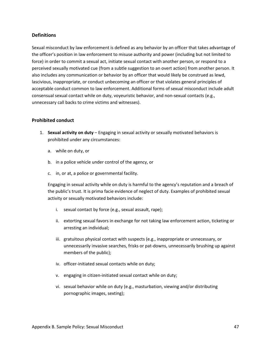#### **Definitions**

Sexual misconduct by law enforcement is defined as any behavior by an officer that takes advantage of the officer's position in law enforcement to misuse authority and power (including but not limited to force) in order to commit a sexual act, initiate sexual contact with another person, or respond to a perceived sexually motivated cue (from a subtle suggestion to an overt action) from another person. It also includes any communication or behavior by an officer that would likely be construed as lewd, lascivious, inappropriate, or conduct unbecoming an officer or that violates general principles of acceptable conduct common to law enforcement. Additional forms of sexual misconduct include adult consensual sexual contact while on duty, voyeuristic behavior, and non-sexual contacts (e.g., unnecessary call backs to crime victims and witnesses).

#### **Prohibited conduct**

- 1. **Sexual activity on duty** Engaging in sexual activity or sexually motivated behaviors is prohibited under any circumstances:
	- a. while on duty, or
	- b. in a police vehicle under control of the agency, or
	- c. in, or at, a police or governmental facility.

Engaging in sexual activity while on duty is harmful to the agency's reputation and a breach of the public's trust. It is prima facie evidence of neglect of duty. Examples of prohibited sexual activity or sexually motivated behaviors include:

- i. sexual contact by force (e.g., sexual assault, rape);
- ii. extorting sexual favors in exchange for not taking law enforcement action, ticketing or arresting an individual;
- iii. gratuitous physical contact with suspects (e.g., inappropriate or unnecessary, or unnecessarily invasive searches, frisks or pat-downs, unnecessarily brushing up against members of the public);
- iv. officer-initiated sexual contacts while on duty;
- v. engaging in citizen-initiated sexual contact while on duty;
- vi. sexual behavior while on duty (e.g., masturbation, viewing and/or distributing pornographic images, sexting);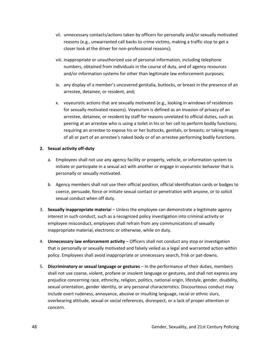- vii. unnecessary contacts/actions taken by officers for personally and/or sexually motivated reasons (e.g., unwarranted call backs to crime victims, making a traffic stop to get a closer look at the driver for non-professional reasons);
- viii. inappropriate or unauthorized use of personal information, including telephone numbers, obtained from individuals in the course of duty, and of agency resources and/or information systems for other than legitimate law enforcement purposes;
- ix. any display of a member's uncovered genitalia, buttocks, or breast in the presence of an arrestee, detainee, or resident, and;
- x. voyeuristic actions that are sexually motivated (e.g., looking in windows of residences for sexually motivated reasons). Voyeurism is defined as an invasion of privacy of an arrestee, detainee, or resident by staff for reasons unrelated to official duties, such as peering at an arrestee who is using a toilet in his or her cell to perform bodily functions; requiring an arrestee to expose his or her buttocks, genitals, or breasts; or taking images of all or part of an arrestee's naked body or of an arrestee performing bodily functions.

#### **2. Sexual activity off-duty**

- a. Employees shall not use any agency facility or property, vehicle, or information system to initiate or participate in a sexual act with another or engage in voyeuristic behavior that is personally or sexually motivated.
- b. Agency members shall not use their official position, official identification cards or badges to coerce, persuade, force or initiate sexual contact or penetration with anyone, or to solicit sexual conduct when off duty.
- 3. **Sexually inappropriate materia**l Unless the employee can demonstrate a legitimate agency interest in such conduct, such as a recognized policy investigation into criminal activity or employee misconduct, employees shall refrain from any communications of sexually inappropriate material, electronic or otherwise, while on duty.
- 4. **Unnecessary law enforcement activity**  Officers shall not conduct any stop or investigation that is personally or sexually motivated and falsely veiled as a legal and warranted action within policy. Employees shall avoid inappropriate or unnecessary search, frisk or pat-downs.
- 5. **Discriminatory or sexual language or gestures** In the performance of their duties, members shall not use coarse, violent, profane or insolent language or gestures, and shall not express any prejudice concerning race, ethnicity, religion, politics, national origin, lifestyle, gender, disability, sexual orientation, gender identity, or any personal characteristics. Discourteous conduct may include overt rudeness, annoyance, abusive or insulting language, racial or ethnic slurs, overbearing attitude, sexual or social references, disrespect, or a lack of proper attention or concern.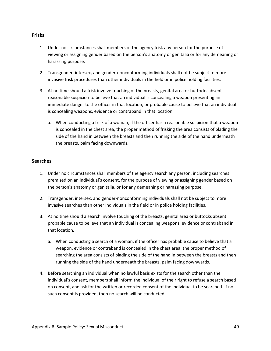#### **Frisks**

- 1. Under no circumstances shall members of the agency frisk any person for the purpose of viewing or assigning gender based on the person's anatomy or genitalia or for any demeaning or harassing purpose.
- 2. Transgender, intersex, and gender-nonconforming individuals shall not be subject to more invasive frisk procedures than other individuals in the field or in police holding facilities.
- 3. At no time should a frisk involve touching of the breasts, genital area or buttocks absent reasonable suspicion to believe that an individual is concealing a weapon presenting an immediate danger to the officer in that location, or probable cause to believe that an individual is concealing weapons, evidence or contraband in that location.
	- a. When conducting a frisk of a woman, if the officer has a reasonable suspicion that a weapon is concealed in the chest area, the proper method of frisking the area consists of blading the side of the hand in between the breasts and then running the side of the hand underneath the breasts, palm facing downwards.

#### **Searches**

- 1. Under no circumstances shall members of the agency search any person, including searches premised on an individual's consent, for the purpose of viewing or assigning gender based on the person's anatomy or genitalia, or for any demeaning or harassing purpose.
- 2. Transgender, intersex, and gender-nonconforming individuals shall not be subject to more invasive searches than other individuals in the field or in police holding facilities.
- 3. At no time should a search involve touching of the breasts, genital area or buttocks absent probable cause to believe that an individual is concealing weapons, evidence or contraband in that location.
	- a. When conducting a search of a woman, if the officer has probable cause to believe that a weapon, evidence or contraband is concealed in the chest area, the proper method of searching the area consists of blading the side of the hand in between the breasts and then running the side of the hand underneath the breasts, palm facing downwards.
- 4. Before searching an individual when no lawful basis exists for the search other than the individual's consent, members shall inform the individual of their right to refuse a search based on consent, and ask for the written or recorded consent of the individual to be searched. If no such consent is provided, then no search will be conducted.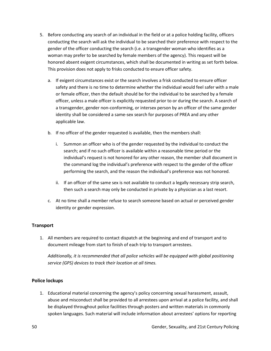- 5. Before conducting any search of an individual in the field or at a police holding facility, officers conducting the search will ask the individual to be searched their preference with respect to the gender of the officer conducting the search (i.e. a transgender woman who identifies as a woman may prefer to be searched by female members of the agency). This request will be honored absent exigent circumstances, which shall be documented in writing as set forth below. This provision does not apply to frisks conducted to ensure officer safety.
	- a. If exigent circumstances exist or the search involves a frisk conducted to ensure officer safety and there is no time to determine whether the individual would feel safer with a male or female officer, then the default should be for the individual to be searched by a female officer, unless a male officer is explicitly requested prior to or during the search. A search of a transgender, gender non-conforming, or intersex person by an officer of the same gender identity shall be considered a same-sex search for purposes of PREA and any other applicable law.
	- b. If no officer of the gender requested is available, then the members shall:
		- i. Summon an officer who is of the gender requested by the individual to conduct the search; and if no such officer is available within a reasonable time period or the individual's request is not honored for any other reason, the member shall document in the command log the individual's preference with respect to the gender of the officer performing the search, and the reason the individual's preference was not honored.
		- ii. If an officer of the same sex is not available to conduct a legally necessary strip search, then such a search may only be conducted in private by a physician as a last resort.
	- c. At no time shall a member refuse to search someone based on actual or perceived gender identity or gender expression.

## **Transport**

1. All members are required to contact dispatch at the beginning and end of transport and to document mileage from start to finish of each trip to transport arrestees.

*Additionally, it is recommended that all police vehicles will be equipped with global positioning service (GPS) devices to track their location at all times.*

#### **Police lockups**

1. Educational material concerning the agency's policy concerning sexual harassment, assault, abuse and misconduct shall be provided to all arrestees upon arrival at a police facility, and shall be displayed throughout police facilities through posters and written materials in commonly spoken languages. Such material will include information about arrestees' options for reporting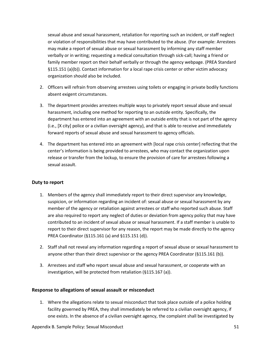sexual abuse and sexual harassment, retaliation for reporting such an incident, or staff neglect or violation of responsibilities that may have contributed to the abuse. (For example: Arrestees may make a report of sexual abuse or sexual harassment by informing any staff member verbally or in writing; requesting a medical consultation through sick-call; having a friend or family member report on their behalf verbally or through the agency webpage. (PREA Standard §115.151 (a)(b)). Contact information for a local rape crisis center or other victim advocacy organization should also be included.

- 2. Officers will refrain from observing arrestees using toilets or engaging in private bodily functions absent exigent circumstances.
- 3. The department provides arrestees multiple ways to privately report sexual abuse and sexual harassment, including one method for reporting to an outside entity. Specifically, the department has entered into an agreement with an outside entity that is not part of the agency (i.e., [X city] police or a civilian oversight agency), and that is able to receive and immediately forward reports of sexual abuse and sexual harassment to agency officials.
- 4. The department has entered into an agreement with [local rape crisis center] reflecting that the center's information is being provided to arrestees, who may contact the organization upon release or transfer from the lockup, to ensure the provision of care for arrestees following a sexual assault.

#### **Duty to report**

- 1. Members of the agency shall immediately report to their direct supervisor any knowledge, suspicion, or information regarding an incident of: sexual abuse or sexual harassment by any member of the agency or retaliation against arrestees or staff who reported such abuse. Staff are also required to report any neglect of duties or deviation from agency policy that may have contributed to an incident of sexual abuse or sexual harassment. If a staff member is unable to report to their direct supervisor for any reason, the report may be made directly to the agency PREA Coordinator (§115.161 (a) and §115.151 (d)).
- 2. Staff shall not reveal any information regarding a report of sexual abuse or sexual harassment to anyone other than their direct supervisor or the agency PREA Coordinator (§115.161 (b)).
- 3. Arrestees and staff who report sexual abuse and sexual harassment, or cooperate with an investigation, will be protected from retaliation (§115.167 (a)).

#### **Response to allegations of sexual assault or misconduct**

1. Where the allegations relate to sexual misconduct that took place outside of a police holding facility governed by PREA, they shall immediately be referred to a civilian oversight agency, if one exists. In the absence of a civilian oversight agency, the complaint shall be investigated by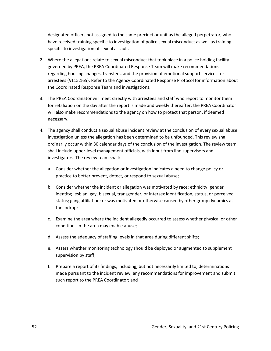designated officers not assigned to the same precinct or unit as the alleged perpetrator, who have received training specific to investigation of police sexual misconduct as well as training specific to investigation of sexual assault.

- 2. Where the allegations relate to sexual misconduct that took place in a police holding facility governed by PREA, the PREA Coordinated Response Team will make recommendations regarding housing changes, transfers, and the provision of emotional support services for arrestees (§115.165). Refer to the Agency Coordinated Response Protocol for information about the Coordinated Response Team and investigations.
- 3. The PREA Coordinator will meet directly with arrestees and staff who report to monitor them for retaliation on the day after the report is made and weekly thereafter; the PREA Coordinator will also make recommendations to the agency on how to protect that person, if deemed necessary.
- 4. The agency shall conduct a sexual abuse incident review at the conclusion of every sexual abuse investigation unless the allegation has been determined to be unfounded. This review shall ordinarily occur within 30 calendar days of the conclusion of the investigation. The review team shall include upper-level management officials, with input from line supervisors and investigators. The review team shall:
	- a. Consider whether the allegation or investigation indicates a need to change policy or practice to better prevent, detect, or respond to sexual abuse;
	- b. Consider whether the incident or allegation was motivated by race; ethnicity; gender identity; lesbian, gay, bisexual, transgender, or intersex identification, status, or perceived status; gang affiliation; or was motivated or otherwise caused by other group dynamics at the lockup;
	- c. Examine the area where the incident allegedly occurred to assess whether physical or other conditions in the area may enable abuse;
	- d. Assess the adequacy of staffing levels in that area during different shifts;
	- e. Assess whether monitoring technology should be deployed or augmented to supplement supervision by staff;
	- f. Prepare a report of its findings, including, but not necessarily limited to, determinations made pursuant to the incident review, any recommendations for improvement and submit such report to the PREA Coordinator; and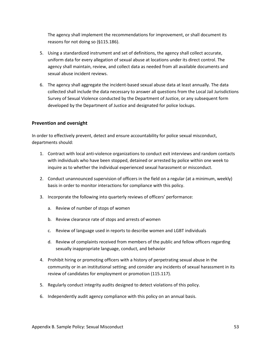The agency shall implement the recommendations for improvement, or shall document its reasons for not doing so (§115.186).

- 5. Using a standardized instrument and set of definitions, the agency shall collect accurate, uniform data for every allegation of sexual abuse at locations under its direct control. The agency shall maintain, review, and collect data as needed from all available documents and sexual abuse incident reviews.
- 6. The agency shall aggregate the incident-based sexual abuse data at least annually. The data collected shall include the data necessary to answer all questions from the Local Jail Jurisdictions Survey of Sexual Violence conducted by the Department of Justice, or any subsequent form developed by the Department of Justice and designated for police lockups.

#### **Prevention and oversight**

In order to effectively prevent, detect and ensure accountability for police sexual misconduct, departments should:

- 1. Contract with local anti-violence organizations to conduct exit interviews and random contacts with individuals who have been stopped, detained or arrested by police within one week to inquire as to whether the individual experienced sexual harassment or misconduct.
- 2. Conduct unannounced supervision of officers in the field on a regular (at a minimum, weekly) basis in order to monitor interactions for compliance with this policy.
- 3. Incorporate the following into quarterly reviews of officers' performance:
	- a. Review of number of stops of women
	- b. Review clearance rate of stops and arrests of women
	- c. Review of language used in reports to describe women and LGBT individuals
	- d. Review of complaints received from members of the public and fellow officers regarding sexually inappropriate language, conduct, and behavior
- 4. Prohibit hiring or promoting officers with a history of perpetrating sexual abuse in the community or in an institutional setting; and consider any incidents of sexual harassment in its review of candidates for employment or promotion (115.117).
- 5. Regularly conduct integrity audits designed to detect violations of this policy.
- 6. Independently audit agency compliance with this policy on an annual basis.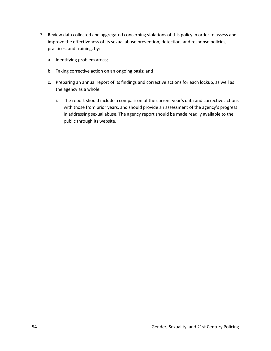- 7. Review data collected and aggregated concerning violations of this policy in order to assess and improve the effectiveness of its sexual abuse prevention, detection, and response policies, practices, and training, by:
	- a. Identifying problem areas;
	- b. Taking corrective action on an ongoing basis; and
	- c. Preparing an annual report of its findings and corrective actions for each lockup, as well as the agency as a whole.
		- i. The report should include a comparison of the current year's data and corrective actions with those from prior years, and should provide an assessment of the agency's progress in addressing sexual abuse. The agency report should be made readily available to the public through its website.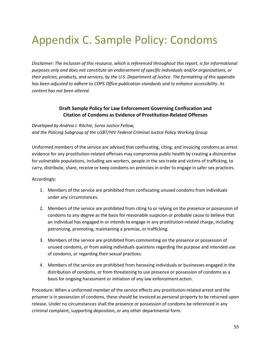## Appendix C. Sample Policy: Condoms

*Disclaimer: The inclusion of this resource, which is referenced throughout this report, is for informational purposes only and does not constitute an endorsement of specific individuals and/or organizations, or their policies, products, and services, by the U.S. Department of Justice. The formatting of this appendix has been adjusted to adhere to COPS Office publication standards and to enhance accessibility. Its content has not been altered.*

## **Draft Sample Policy for Law Enforcement Governing Confiscation and Citation of Condoms as Evidence of Prostitution-Related Offenses**

*Developed by Andrea J. Ritchie, Soros Justice Fellow, and the Policing Subgroup of the LGBT/HIV Federal Criminal Justice Policy Working Group*

Uniformed members of the service are advised that confiscating, citing, and invoicing condoms as arrest evidence for any prostitution-related offenses may compromise public health by creating a disincentive for vulnerable populations, including sex workers, people in the sex trade and victims of trafficking, to carry, distribute, share, receive or keep condoms on premises in order to engage in safer sex practices.

#### Accordingly:

- 1. Members of the service are prohibited from confiscating unused condoms from individuals under any circumstances.
- 2. Members of the service are prohibited from citing to or relying on the presence or possession of condoms to any degree as the basis for reasonable suspicion or probable cause to believe that an individual has engaged in or intends to engage in any prostitution-related charge, including patronizing, promoting, maintaining a premise, or trafficking.
- 3. Members of the service are prohibited from commenting on the presence or possession of unused condoms, or from asking individuals questions regarding the purpose and intended use of condoms, or regarding their sexual practices.
- 4. Members of the service are prohibited from harassing individuals or businesses engaged in the distribution of condoms, or from threatening to use presence or possession of condoms as a basis for ongoing harassment or initiation of any law enforcement action.

Procedure: When a uniformed member of the service effects any prostitution-related arrest and the prisoner is in possession of condoms, these should be invoiced as personal property to be returned upon release. Under no circumstances shall the presence or possession of condoms be referenced in any criminal complaint, supporting deposition, or any other departmental form.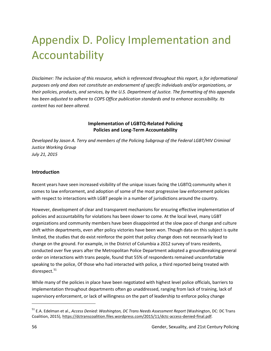# Appendix D. Policy Implementation and Accountability

*Disclaimer: The inclusion of this resource, which is referenced throughout this report, is for informational purposes only and does not constitute an endorsement of specific individuals and/or organizations, or their policies, products, and services, by the U.S. Department of Justice. The formatting of this appendix has been adjusted to adhere to COPS Office publication standards and to enhance accessibility. Its content has not been altered.*

#### **Implementation of LGBTQ-Related Policing Policies and Long-Term Accountability**

*Developed by Jason A. Terry and members of the Policing Subgroup of the Federal LGBT/HIV Criminal Justice Working Group July 21, 2015*

#### **Introduction**

Recent years have seen increased visibility of the unique issues facing the LGBTQ community when it comes to law enforcement, and adoption of some of the most progressive law enforcement policies with respect to interactions with LGBT people in a number of jurisdictions around the country.

However, development of clear and transparent mechanisms for ensuring effective implementation of policies and accountability for violations has been slower to come. At the local level, many LGBT organizations and community members have been disappointed at the slow pace of change and culture shift within departments, even after policy victories have been won. Though data on this subject is quite limited, the studies that do exist reinforce the point that policy change does not necessarily lead to change on the ground. For example, in the District of Columbia a 2012 survey of trans residents, conducted over five years after the Metropolitan Police Department adopted a groundbreaking general order on interactions with trans people, found that 55% of respondents remained uncomfortable speaking to the police, Of those who had interacted with police, a third reported being treated with disrespect. $51$ 

While many of the policies in place have been negotiated with highest level police officials, barriers to implementation throughout departments often go unaddressed, ranging from lack of training, lack of supervisory enforcement, or lack of willingness on the part of leadership to enforce policy change

l

<span id="page-61-0"></span><sup>51</sup> E.A. Edelman et al., *Access Denied: Washington, DC Trans Needs Assessment Report* (Washington, DC: DC Trans Coalition, 2015), https://dctranscoalition.files.wordpress.com/2015/11/dctc-access-denied-final.pdf.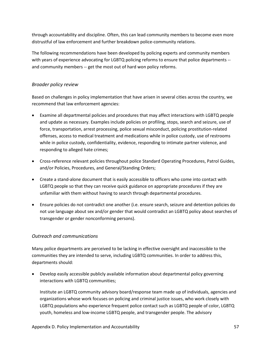through accountability and discipline. Often, this can lead community members to become even more distrustful of law enforcement and further breakdown police-community relations.

The following recommendations have been developed by policing experts and community members with years of experience advocating for LGBTQ policing reforms to ensure that police departments -and community members -- get the most out of hard won policy reforms.

## *Broader policy review*

Based on challenges in policy implementation that have arisen in several cities across the country, we recommend that law enforcement agencies:

- Examine all departmental policies and procedures that may affect interactions with LGBTQ people and update as necessary. Examples include policies on profiling, stops, search and seizure, use of force, transportation, arrest processing, police sexual misconduct, policing prostitution-related offenses, access to medical treatment and medications while in police custody, use of restrooms while in police custody, confidentiality, evidence, responding to intimate partner violence, and responding to alleged hate crimes;
- Cross-reference relevant policies throughout police Standard Operating Procedures, Patrol Guides, and/or Policies, Procedures, and General/Standing Orders;
- Create a stand-alone document that is easily accessible to officers who come into contact with LGBTQ people so that they can receive quick guidance on appropriate procedures if they are unfamiliar with them without having to search through departmental procedures.
- Ensure policies do not contradict one another (i.e. ensure search, seizure and detention policies do not use language about sex and/or gender that would contradict an LGBTQ policy about searches of transgender or gender nonconforming persons).

## *Outreach and communications*

Many police departments are perceived to be lacking in effective oversight and inaccessible to the communities they are intended to serve, including LGBTQ communities. In order to address this, departments should:

• Develop easily accessible publicly available information about departmental policy governing interactions with LGBTQ communities;

Institute an LGBTQ community advisory board/response team made up of individuals, agencies and organizations whose work focuses on policing and criminal justice issues, who work closely with LGBTQ populations who experience frequent police contact such as LGBTQ people of color, LGBTQ youth, homeless and low-income LGBTQ people, and transgender people. The advisory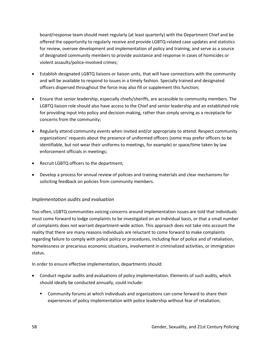board/response team should meet regularly (at least quarterly) with the Department Chief and be offered the opportunity to regularly receive and provide LGBTQ-related case updates and statistics for review, oversee development and implementation of policy and training, and serve as a source of designated community members to provide assistance and response in cases of homicides or violent assaults/police-involved crimes;

- Establish designated LGBTQ liaisons or liaison units, that will have connections with the community and will be available to respond to issues in a timely fashion. Specially trained and designated officers dispersed throughout the force may also fill or supplement this function;
- Ensure that senior leadership, especially chiefs/sheriffs, are accessible to community members. The LGBTQ liaison role should also have access to the Chief and senior leadership and an established role for providing input into policy and decision-making, rather than simply serving as a receptacle for concerns from the community;
- Regularly attend community events when invited and/or appropriate to attend. Respect community organizations' requests about the presence of uniformed officers (some may prefer officers to be identifiable, but not wear their uniforms to meetings, for example) or space/time taken by law enforcement officials in meetings;
- Recruit LGBTQ officers to the department;
- Develop a process for annual review of policies and training materials and clear mechanisms for soliciting feedback on policies from community members.

#### *Implementation audits and evaluation*

Too often, LGBTQ communities voicing concerns around implementation issues are told that individuals must come forward to lodge complaints to be investigated on an individual basis, or that a small number of complaints does not warrant department-wide action. This approach does not take into account the reality that there are many reasons individuals are reluctant to come forward to make complaints regarding failure to comply with police policy or procedures, including fear of police and of retaliation, homelessness or precarious economic situations, involvement in criminalized activities, or immigration status.

In order to ensure effective implementation, departments should:

- Conduct regular audits and evaluations of policy implementation. Elements of such audits, which should ideally be conducted annually, could include:
	- **Community forums at which individuals and organizations can come forward to share their** experiences of policy implementation with police leadership without fear of retaliation;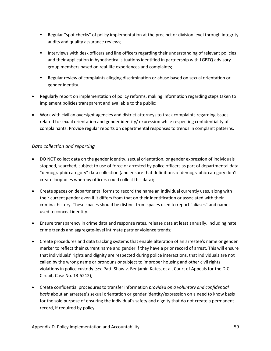- **EXECT** Regular "spot checks" of policy implementation at the precinct or division level through integrity audits and quality assurance reviews;
- **Interviews with desk officers and line officers regarding their understanding of relevant policies** and their application in hypothetical situations identified in partnership with LGBTQ advisory group members based on real-life experiences and complaints;
- Regular review of complaints alleging discrimination or abuse based on sexual orientation or gender identity.
- Regularly report on implementation of policy reforms, making information regarding steps taken to implement policies transparent and available to the public;
- Work with civilian oversight agencies and district attorneys to track complaints regarding issues related to sexual orientation and gender identity/ expression while respecting confidentiality of complainants. Provide regular reports on departmental responses to trends in complaint patterns.

## *Data collection and reporting*

- DO NOT collect data on the gender identity, sexual orientation, or gender expression of individuals stopped, searched, subject to use of force or arrested by police officers as part of departmental data "demographic category" data collection (and ensure that definitions of demographic category don't create loopholes whereby officers could collect this data);
- Create spaces on departmental forms to record the name an individual currently uses, along with their current gender even if it differs from that on their identification or associated with their criminal history. These spaces should be distinct from spaces used to report "aliases" and names used to conceal identity.
- Ensure transparency in crime data and response rates, release data at least annually, including hate crime trends and aggregate-level intimate partner violence trends;
- Create procedures and data tracking systems that enable alteration of an arrestee's name or gender marker to reflect their current name and gender if they have a prior record of arrest. This will ensure that individuals' rights and dignity are respected during police interactions, that individuals are not called by the wrong name or pronouns or subject to improper housing and other civil rights violations in police custody (*see* Patti Shaw v. Benjamin Kates, et al, Court of Appeals for the D.C. Circuit, Case No. 13-5212);
- Create confidential procedures to transfer information *provided on a voluntary and confidential basis* about an arrestee's sexual orientation or gender identity/expression on a need to know basis for the sole purpose of ensuring the individual's safety and dignity that do not create a permanent record, if required by policy.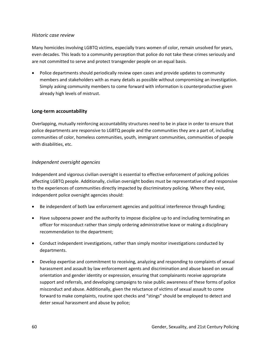#### *Historic case review*

Many homicides involving LGBTQ victims, especially trans women of color, remain unsolved for years, even decades. This leads to a community perception that police do not take these crimes seriously and are not committed to serve and protect transgender people on an equal basis.

• Police departments should periodically review open cases and provide updates to community members and stakeholders with as many details as possible without compromising an investigation. Simply asking community members to come forward with information is counterproductive given already high levels of mistrust.

#### **Long-term accountability**

Overlapping, mutually reinforcing accountability structures need to be in place in order to ensure that police departments are responsive to LGBTQ people and the communities they are a part of, including communities of color, homeless communities, youth, immigrant communities, communities of people with disabilities, etc.

#### *Independent oversight agencies*

Independent and vigorous civilian oversight is essential to effective enforcement of policing policies affecting LGBTQ people. Additionally, civilian oversight bodies must be representative of and responsive to the experiences of communities directly impacted by discriminatory policing. Where they exist, independent police oversight agencies should:

- Be independent of both law enforcement agencies and political interference through funding;
- Have subpoena power and the authority to impose discipline up to and including terminating an officer for misconduct rather than simply ordering administrative leave or making a disciplinary recommendation to the department;
- Conduct independent investigations, rather than simply monitor investigations conducted by departments.
- Develop expertise and commitment to receiving, analyzing and responding to complaints of sexual harassment and assault by law enforcement agents and discrimination and abuse based on sexual orientation and gender identity or expression, ensuring that complainants receive appropriate support and referrals, and developing campaigns to raise public awareness of these forms of police misconduct and abuse. Additionally, given the reluctance of victims of sexual assault to come forward to make complaints, routine spot checks and "stings" should be employed to detect and deter sexual harassment and abuse by police;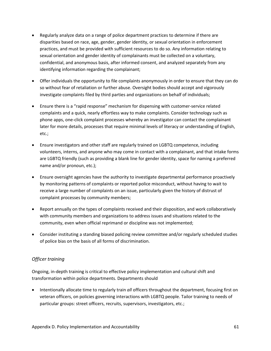- Regularly analyze data on a range of police department practices to determine if there are disparities based on race, age, gender, gender identity, or sexual orientation in enforcement practices, and must be provided with sufficient resources to do so. Any information relating to sexual orientation and gender identity of complainants must be collected on a voluntary, confidential, and anonymous basis, after informed consent, and analyzed separately from any identifying information regarding the complainant;
- Offer individuals the opportunity to file complaints anonymously in order to ensure that they can do so without fear of retaliation or further abuse. Oversight bodies should accept and vigorously investigate complaints filed by third parties and organizations on behalf of individuals;
- Ensure there is a "rapid response" mechanism for dispensing with customer-service related complaints and a quick, nearly effortless way to make complaints. Consider technology such as phone apps, one-click complaint processes whereby an investigator can contact the complainant later for more details, processes that require minimal levels of literacy or understanding of English, etc.;
- Ensure investigators and other staff are regularly trained on LGBTQ competence, including volunteers, interns, and anyone who may come in contact with a complainant, and that intake forms are LGBTQ friendly (such as providing a blank line for gender identity, space for naming a preferred name and/or pronoun, etc.);
- Ensure oversight agencies have the authority to investigate departmental performance proactively by monitoring patterns of complaints or reported police misconduct, without having to wait to receive a large number of complaints on an issue, particularly given the history of distrust of complaint processes by community members;
- Report annually on the types of complaints received and their disposition, and work collaboratively with community members and organizations to address issues and situations related to the community, even when official reprimand or discipline was not implemented;
- Consider instituting a standing biased policing review committee and/or regularly scheduled studies of police bias on the basis of all forms of discrimination.

#### *Officer training*

Ongoing, in-depth training is critical to effective policy implementation and cultural shift and transformation within police departments. Departments should

• Intentionally allocate time to regularly train *all* officers throughout the department, focusing first on veteran officers, on policies governing interactions with LGBTQ people. Tailor training to needs of particular groups: street officers, recruits, supervisors, investigators, etc.;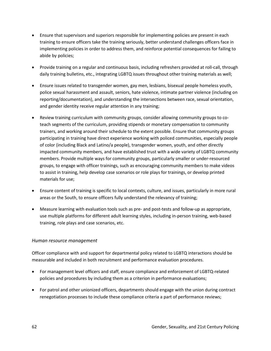- Ensure that supervisors and superiors responsible for implementing policies are present in each training to ensure officers take the training seriously, better understand challenges officers face in implementing policies in order to address them, and reinforce potential consequences for failing to abide by policies;
- Provide training on a regular and continuous basis, including refreshers provided at roll-call, through daily training bulletins, etc., integrating LGBTQ issues throughout other training materials as well;
- Ensure issues related to transgender women, gay men, lesbians, bisexual people homeless youth, police sexual harassment and assault, seniors, hate violence, intimate partner violence (including on reporting/documentation), and understanding the intersections between race, sexual orientation, and gender identity receive regular attention in any training;
- Review training curriculum with community groups, consider allowing community groups to coteach segments of the curriculum, providing stipends or monetary compensation to community trainers, and working around their schedule to the extent possible. Ensure that community groups participating in training have direct experience working with policed communities, especially people of color (including Black and Latino/a people), transgender women, youth, and other directly impacted community members, and have established trust with a wide variety of LGBTQ community members. Provide multiple ways for community groups, particularly smaller or under-resourced groups, to engage with officer trainings, such as encouraging community members to make videos to assist in training, help develop case scenarios or role plays for trainings, or develop printed materials for use;
- Ensure content of training is specific to local contexts, culture, and issues, particularly in more rural areas or the South, to ensure officers fully understand the relevancy of training;
- Measure learning with evaluation tools such as pre- and post-tests and follow-up as appropriate, use multiple platforms for different adult learning styles, including in-person training, web-based training, role plays and case scenarios, etc.

#### *Human resource management*

Officer compliance with and support for departmental policy related to LGBTQ interactions should be measurable and included in both recruitment and performance evaluation procedures.

- For management level officers and staff, ensure compliance and enforcement of LGBTQ-related policies and procedures by including them as a criterion in performance evaluations;
- For patrol and other unionized officers, departments should engage with the union during contract renegotiation processes to include these compliance criteria a part of performance reviews;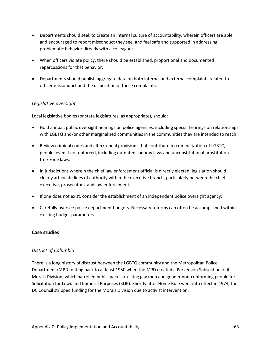- Departments should seek to create an internal culture of accountability, wherein officers are able and encouraged to report misconduct they see, and feel safe and supported in addressing problematic behavior directly with a colleague;
- When officers violate policy, there should be established, proportional and documented repercussions for that behavior;
- Departments should publish aggregate data on both internal and external complaints related to officer misconduct and the disposition of those complaints.

## *Legislative oversight*

Local legislative bodies (or state legislatures, as appropriate), should:

- Hold annual, public oversight hearings on police agencies, including special hearings on relationships with LGBTQ and/or other marginalized communities in the communities they are intended to reach;
- Review criminal codes and alter/repeal provisions that contribute to criminalization of LGBTQ people, even if not enforced, including outdated sodomy laws and unconstitutional prostitutionfree-zone laws;
- In jurisdictions wherein the chief law enforcement official is directly elected, legislation should clearly articulate lines of authority within the executive branch, particularly between the chief executive, prosecutors, and law enforcement;
- If one does not exist, consider the establishment of an independent police oversight agency;
- Carefully oversee police department budgets. Necessary reforms can often be accomplished within existing budget parameters.

#### **Case studies**

#### *District of Columbia*

There is a long history of distrust between the LGBTQ community and the Metropolitan Police Department (MPD) dating back to at least 1950 when the MPD created a Perversion Subsection of its Morals Division, which patrolled public parks arresting gay men and gender non-conforming people for Solicitation for Lewd and Immoral Purposes (SLIP). Shortly after Home Rule went into effect in 1974, the DC Council stripped funding for the Morals Division due to activist intervention.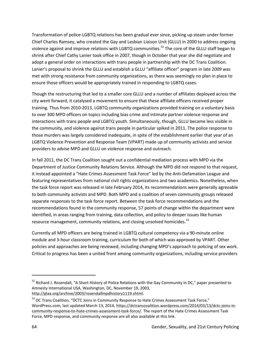Transformation of police-LGBTQ relations has been gradual ever since, picking up steam under former Chief Charles Ramsey, who created the Gay and Lesbian Liaison Unit (GLLU) in 2000 to address ongoing violence against and improve relations with LGBTQ communities.<sup>[52](#page-69-0)</sup> The core of the GLLU staff began to shrink after Chief Cathy Lanier took office in 2007, though in October that year she did negotiate and adopt a general order on interactions with trans people in partnership with the DC Trans Coalition. Lanier's proposal to shrink the GLLU and establish a GLLU "affiliate officer" program in late 2009 was met with strong resistance from community organizations, as there was seemingly no plan in place to ensure those officers would be appropriately trained in responding to LGBTQ cases.

Though the restructuring that led to a smaller core GLLU and a number of affiliates deployed across the city went forward, it catalysed a movement to ensure that these affiliate officers received proper training. Thus from 2010-2013, LGBTQ community organizations provided training on a voluntary basis to over 300 MPD officers on topics including bias crime and intimate partner violence response and interactions with trans people and LGBTQ youth. Simultaneously, though, GLLU became less visible in the community, and violence against trans people in particular spiked in 2011. The police response to those murders was largely considered inadequate, in spite of the establishment earlier that year of an LGBTQ Violence Prevention and Response Team (VPART) made up of community activists and service providers to advise MPD and GLLU on violence response and outreach.

In fall 2011, the DC Trans Coalition sought out a confidential mediation process with MPD via the Department of Justice Community Relations Service. Although the MPD did not respond to that request, it instead appointed a "Hate Crimes Assessment Task Force" led by the Anti-Defamation League and featuring representatives from national civil rights organizations and two academics. Nonetheless, when the task force report was released in late February 2014, its recommendations were generally agreeable to both community activists and MPD. Both MPD and a coalition of seven community groups released separate responses to the task force report. Between the task force recommendations and the recommendations found in the community response, 57 points of change within the department were identified, in areas ranging from training, data collection, and policy to deeper issues like human resource management, community relations, and closing unsolved homicides.<sup>[53](#page-69-1)</sup>

Currently all MPD officers are being trained in LGBTQ cultural competency via a 90-minute online module and 3-hour classroom training, curriculum for both of which was approved by VPART. Other policies and approaches are being reviewed, including changing MPD's approach to policing of sex work. Critical to progress has been a united front among community organizations, including service providers

 $\overline{\phantom{a}}$ 

<span id="page-69-0"></span><sup>&</sup>lt;sup>52</sup> Richard J. Rosendall, "A Short History of Police Relations with the Gay Community in DC," paper presented to Amnesty International USA, Washington, DC, November 19, 2003, [http://glaa.org/archive/2003/rosendallmpdhistory1119.shtml.](http://glaa.org/archive/2003/rosendallmpdhistory1119.shtml)

<span id="page-69-1"></span><sup>&</sup>lt;sup>53</sup> DC Trans Coalition, "DCTC Joins in Community Response to Hate Crimes Assessment Task Force," WordPress.com, last updated March 13, 2014, [https://dctranscoalition.wordpress.com/2014/03/13/dctc-joins-in](https://dctranscoalition.wordpress.com/2014/03/13/dctc-joins-in-community-response-to-hate-crimes-assessment-task-force/)[community-response-to-hate-crimes-assessment-task-force/](https://dctranscoalition.wordpress.com/2014/03/13/dctc-joins-in-community-response-to-hate-crimes-assessment-task-force/). The report of the Hate Crimes Assessment Task Force, MPD response, and community response are all also available at this link.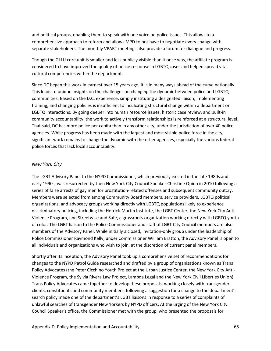and political groups, enabling them to speak with one voice on police issues. This allows to a comprehensive approach to reform and allows MPD to not have to negotiate every change with separate stakeholders. The monthly VPART meetings also provide a forum for dialogue and progress.

Though the GLLU core unit is smaller and less publicly visible than it once was, the affiliate program is considered to have improved the quality of police response in LGBTQ cases and helped spread vital cultural competencies within the department.

Since DC began this work in earnest over 15 years ago, it is in many ways ahead of the curve nationally. This leads to unique insights on the challenges on changing the dynamic between police and LGBTQ communities. Based on the D.C. experience, simply instituting a designated liaison, implementing training, and changing policies is insufficient to inculcating structural change within a department on LGBTQ interactions. By going deeper into human resource issues, historic case review, and built-in community accountability, the work to actively transform relationships is reinforced at a structural level. That said, DC has more police per capita than in any other city, under the jurisdiction of over 40 police agencies. While progress has been made with the largest and most visible police force in the city, significant work remains to change the dynamic with the other agencies, especially the various federal police forces that lack local accountability.

#### *New York City*

The LGBT Advisory Panel to the NYPD Commissioner, which previously existed in the late 1980s and early 1990s, was resurrected by then New York City Council Speaker Christine Quinn in 2010 following a series of false arrests of gay men for prostitution-related offenses and subsequent community outcry. Members were selected from among Community Board members, service providers, LGBTQ political organizations, and advocacy groups working directly with LGBTQ populations likely to experience discriminatory policing, including the Hetrick-Martin Institute, the LGBT Center, the New York City Anti-Violence Program, and Streetwise and Safe, a grassroots organization working directly with LGBTQ youth of color. The LGBT liaison to the Police Commissioner and staff of LGBT City Council members are also members of the Advisory Panel. While initially a closed, invitation-only group under the leadership of Police Commissioner Raymond Kelly, under Commissioner William Bratton, the Advisory Panel is open to all individuals and organizations who wish to join, at the discretion of current panel members.

Shortly after its inception, the Advisory Panel took up a comprehensive set of recommendations for changes to the NYPD Patrol Guide researched and drafted by a group of organizations known as Trans Policy Advocates (the Peter Cicchino Youth Project at the Urban Justice Center, the New York City Anti-Violence Program, the Sylvia Rivera Law Project, Lambda Legal and the New York Civil LIberties Union). Trans Policy Advocates came together to develop these proposals, working closely with transgender clients, constituents and community members, following a suggestion for a change to the department's search policy made one of the department's LGBT liaisons in response to a series of complaints of unlawful searches of transgender New Yorkers by NYPD officers. At the urging of the New York City Council Speaker's office, the Commissioner met with the group, who presented the proposals for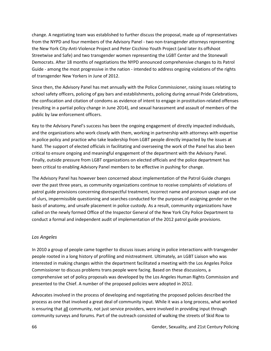change. A negotiating team was established to further discuss the proposal, made up of representatives from the NYPD and four members of the Advisory Panel - two non-transgender attorneys representing the New York City-Anti-Violence Project and Peter Cicchino Youth Project (and later its offshoot Streetwise and Safe) and two transgender women representing the LGBT Center and the Stonewall Democrats. After 18 months of negotiations the NYPD announced comprehensive changes to its Patrol Guide - among the most progressive in the nation - intended to address ongoing violations of the rights of transgender New Yorkers in June of 2012.

Since then, the Advisory Panel has met annually with the Police Commissioner, raising issues relating to school safety officers, policing of gay bars and establishments, policing during annual Pride Celebrations, the confiscation and citation of condoms as evidence of intent to engage in prostitution-related offenses (resulting in a partial policy change in June 2014), and sexual harassment and assault of members of the public by law enforcement officers.

Key to the Advisory Panel's success has been the ongoing engagement of directly impacted individuals, and the organizations who work closely with them, working in partnership with attorneys with expertise in police policy and practice who take leadership from LGBT people directly impacted by the issues at hand. The support of elected officials in facilitating and overseeing the work of the Panel has also been critical to ensure ongoing and meaningful engagement of the department with the Advisory Panel. Finally, outside pressure from LGBT organizations on elected officials and the police department has been critical to enabling Advisory Panel members to be effective in pushing for change.

The Advisory Panel has however been concerned about implementation of the Patrol Guide changes over the past three years, as community organizations continue to receive complaints of violations of patrol guide provisions concerning disrespectful treatment, incorrect name and pronoun usage and use of slurs, impermissible questioning and searches conducted for the purposes of assigning gender on the basis of anatomy, and unsafe placement in police custody. As a result, community organizations have called on the newly formed Office of the Inspector General of the New York City Police Department to conduct a formal and independent audit of implementation of the 2012 patrol guide provisions.

#### *Los Angeles*

In 2010 a group of people came together to discuss issues arising in police interactions with transgender people rooted in a long history of profiling and mistreatment. Ultimately, an LGBT Liaison who was interested in making changes within the department facilitated a meeting with the Los Angeles Police Commissioner to discuss problems trans people were facing. Based on these discussions, a comprehensive set of policy proposals was developed by the Los Angeles Human Rights Commission and presented to the Chief. A number of the proposed policies were adopted in 2012.

Advocates involved in the process of developing and negotiating the proposed policies described the process as one that involved a great deal of community input. While it was a long process, what worked is ensuring that all community, not just service providers, were involved in providing input through community surveys and forums. Part of the outreach consisted of walking the streets of Skid Row to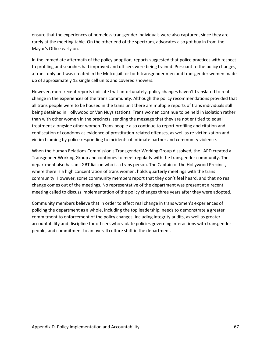ensure that the experiences of homeless transgender individuals were also captured, since they are rarely at the meeting table. On the other end of the spectrum, advocates also got buy in from the Mayor's Office early on.

In the immediate aftermath of the policy adoption, reports suggested that police practices with respect to profiling and searches had improved and officers were being trained. Pursuant to the policy changes, a trans-only unit was created in the Metro jail for both transgender men and transgender women made up of approximately 12 single cell units and covered showers.

However, more recent reports indicate that unfortunately, policy changes haven't translated to real change in the experiences of the trans community. Although the policy recommendations provided that all trans people were to be housed in the trans unit there are multiple reports of trans individuals still being detained in Hollywood or Van Nuys stations. Trans women continue to be held in isolation rather than with other women in the precincts, sending the message that they are not entitled to equal treatment alongside other women. Trans people also continue to report profiling and citation and confiscation of condoms as evidence of prostitution-related offenses, as well as re-victimization and victim blaming by police responding to incidents of intimate partner and community violence.

When the Human Relations Commission's Transgender Working Group dissolved, the LAPD created a Transgender Working Group and continues to meet regularly with the transgender community. The department also has an LGBT liaison who is a trans person. The Captain of the Hollywood Precinct, where there is a high concentration of trans women, holds quarterly meetings with the trans community. However, some community members report that they don't feel heard, and that no real change comes out of the meetings. No representative of the department was present at a recent meeting called to discuss implementation of the policy changes three years after they were adopted.

Community members believe that in order to effect real change in trans women's experiences of policing the department as a whole, including the top leadership, needs to demonstrate a greater commitment to enforcement of the policy changes, including integrity audits, as well as greater accountability and discipline for officers who violate policies governing interactions with transgender people, and commitment to an overall culture shift in the department.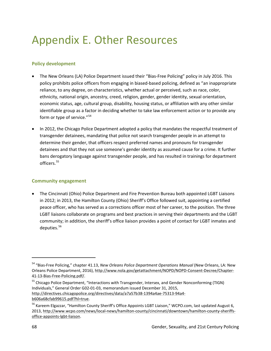## Appendix E. Other Resources

### **Policy development**

- The New Orleans (LA) Police Department issued their "Bias-Free Policing" policy in July 2016. This policy prohibits police officers from engaging in biased-based policing, defined as "an inappropriate reliance, to any degree, on characteristics, whether actual or perceived, such as race, color, ethnicity, national origin, ancestry, creed, religion, gender, gender identity, sexual orientation, economic status, age, cultural group, disability, housing status, or affiliation with any other similar identifiable group as a factor in deciding whether to take law enforcement action or to provide any form or type of service."<sup>[54](#page-73-0)</sup>
- In 2012, the Chicago Police Department adopted a policy that mandates the respectful treatment of transgender detainees, mandating that police not search transgender people in an attempt to determine their gender, that officers respect preferred names and pronouns for transgender detainees and that they not use someone's gender identity as assumed cause for a crime. It further bans derogatory language against transgender people, and has resulted in trainings for department officers.<sup>55</sup>

#### **Community engagement**

• The Cincinnati (Ohio) Police Department and Fire Prevention Bureau both appointed LGBT Liaisons in 2012; in 2013, the Hamilton County (Ohio) Sheriff's Office followed suit, appointing a certified peace officer, who has served as a corrections officer most of her career, to the position. The three LGBT liaisons collaborate on programs and best practices in serving their departments and the LGBT community; in addition, the sheriff's office liaison provides a point of contact for LGBT inmates and deputies.<sup>[56](#page-73-2)</sup>

 $\overline{\phantom{a}}$ 

<span id="page-73-0"></span><sup>54</sup> "Bias-Free Policing," chapter 41.13, *New Orleans Police Department Operations Manual* (New Orleans, LA: New Orleans Police Department, 2016), http://www.nola.gov/getattachment/NOPD/NOPD-Consent-Decree/Chapter-41-13-Bias-Free-Policing.pdf/.

<span id="page-73-1"></span><sup>55</sup> Chicago Police Department, "Interactions with Transgender, Intersex, and Gender Nonconforming (TIGN) Individuals," General Order G02-01-03, memorandum issued December 31, 2015, http://directives.chicagopolice.org/directives/data/a7a57b38-1394a4ae-75313-94a4 b606a68cfab99615.pdf?hl=true.

<span id="page-73-2"></span><sup>&</sup>lt;sup>56</sup> Kareem Elgazzar, "Hamilton County Sheriff's Office Appoints LGBT Liaison," WCPO.com, last updated August 6, 2013, [http://www.wcpo.com/news/local-news/hamilton-county/cincinnati/downtown/hamilton-county-sheriffs](http://www.wcpo.com/news/local-news/hamilton-county/cincinnati/downtown/hamilton-county-sheriffs-office-appoints-lgbt-liaison)[office-appoints-lgbt-liaison.](http://www.wcpo.com/news/local-news/hamilton-county/cincinnati/downtown/hamilton-county-sheriffs-office-appoints-lgbt-liaison)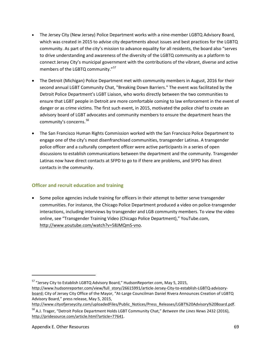- The Jersey City (New Jersey) Police Department works with a nine-member LGBTQ Advisory Board, which was created in 2015 to advise city departments about issues and best practices for the LGBTQ community. As part of the city's mission to advance equality for all residents, the board also "serves to drive understanding and awareness of the diversity of the LGBTQ community as a platform to connect Jersey City's municipal government with the contributions of the vibrant, diverse and active members of the LGBTQ community."<sup>[57](#page-74-0)</sup>
- The Detroit (Michigan) Police Department met with community members in August, 2016 for their second annual LGBT Community Chat, "Breaking Down Barriers." The event was facilitated by the Detroit Police Department's LGBT Liaison, who works directly between the two communities to ensure that LGBT people in Detroit are more comfortable coming to law enforcement in the event of danger or as crime victims. The first such event, in 2015, motivated the police chief to create an advisory board of LGBT advocates and community members to ensure the department hears the community's concerns. [58](#page-74-1)
- The San Francisco Human Rights Commission worked with the San Francisco Police Department to engage one of the city's most disenfranchised communities, transgender Latinas. A transgender police officer and a culturally competent officer were active participants in a series of open discussions to establish communications between the department and the community. Transgender Latinas now have direct contacts at SFPD to go to if there are problems, and SFPD has direct contacts in the community.

### **Officer and recruit education and training**

• Some police agencies include training for officers in their attempt to better serve transgender communities. For instance, the Chicago Police Department produced a video on police-transgender interactions, including interviews by transgender and LGB community members. To view the video online, see "Transgender Training Video (Chicago Police Department)," YouTube.com, [http://www.youtube.com/watch?v=58JMQmS-vno.](http://www.youtube.com/watch?v=58JMQmS-vno)

http://www.cityofjerseycity.com/uploadedFiles/Public\_Notices/Press\_Releases/LGBT%20Advisory%20Board.pdf.

 $\overline{\phantom{a}}$ 

<span id="page-74-0"></span><sup>57</sup> "Jersey City to Establish LGBTQ Advisory Board," HudsonReporter.com, May 5, 2015,

[http://www.hudsonreporter.com/view/full\\_story/26615991/article-Jersey-City-to-establish-LGBTQ-advisory](http://www.hudsonreporter.com/view/full_story/26615991/article-Jersey-City-to-establish-LGBTQ-advisory-board)[board;](http://www.hudsonreporter.com/view/full_story/26615991/article-Jersey-City-to-establish-LGBTQ-advisory-board) City of Jersey City Office of the Mayor, "At-Large Councilman Daniel Rivera Announces Creation of LGBTQ Advisory Board," press release, May 5, 2015,

<span id="page-74-1"></span><sup>58</sup> A.J. Trager, "Detroit Police Department Holds LGBT Community Chat," *Between the Lines Ne*ws 2432 (2016), [http://pridesource.com/article.html?article=77641.](http://pridesource.com/article.html?article=77641)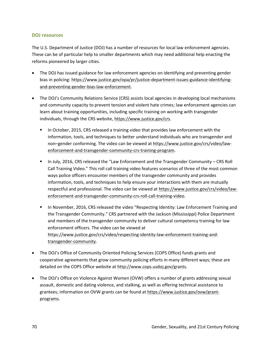#### **DOJ resources**

The U.S. Department of Justice (DOJ) has a number of resources for local law enforcement agencies. These can be of particular help to smaller departments which may need additional help enacting the reforms pioneered by larger cities.

- The DOJ has issued guidance for law enforcement agencies on identifying and preventing gender bias in policing: [https://www.justice.gov/opa/pr/justice-department-issues-guidance-identifying](https://www.justice.gov/opa/pr/justice-department-issues-guidance-identifying-and-preventing-gender-bias-law-enforcement)[and-preventing-gender-bias-law-enforcement.](https://www.justice.gov/opa/pr/justice-department-issues-guidance-identifying-and-preventing-gender-bias-law-enforcement)
- The DOJ's Community Relations Service (CRS) assists local agencies in developing local mechanisms and community capacity to prevent tension and violent hate crimes; law enforcement agencies can learn about training opportunities, including specific training on working with transgender individuals, through the CRS website[, https://www.justice.gov/crs.](https://www.justice.gov/crs)
	- In October, 2015, CRS released a training video that provides law enforcement with the information, tools, and techniques to better understand individuals who are transgender and non–gender conforming. The video can be viewed a[t https://www.justice.gov/crs/video/law](https://www.justice.gov/crs/video/law-enforcement-and-transgender-community-crs-training-program)[enforcement-and-transgender-community-crs-training-program.](https://www.justice.gov/crs/video/law-enforcement-and-transgender-community-crs-training-program)
	- In July, 2016, CRS released the "Law Enforcement and the Transgender Community CRS Roll Call Training Video." This roll call training video features scenarios of three of the most common ways police officers encounter members of the transgender community and provides information, tools, and techniques to help ensure your interactions with them are mutually respectful and professional. The video can be viewed a[t https://www.justice.gov/crs/video/law](https://www.justice.gov/crs/video/law-enforcement-and-transgender-community-crs-roll-call-training-video)[enforcement-and-transgender-community-crs-roll-call-training-video.](https://www.justice.gov/crs/video/law-enforcement-and-transgender-community-crs-roll-call-training-video)
	- **In November, 2016, CRS released the video "Respecting Identity: Law Enforcement Training and** the Transgender Community." CRS partnered with the Jackson (Mississippi) Police Department and members of the transgender community to deliver cultural competency training for law enforcement officers. The video can be viewed at [https://www.justice.gov/crs/video/respecting-identity-law-enforcement-training-and](https://www.justice.gov/crs/video/respecting-identity-law-enforcement-training-and-transgender-community)[transgender-community.](https://www.justice.gov/crs/video/respecting-identity-law-enforcement-training-and-transgender-community)
- The DOJ's Office of Community Oriented Policing Services (COPS Office) funds grants and cooperative agreements that grow community policing efforts in many different ways; these are detailed on the COPS Office website at [http://www.cops.usdoj.gov/grants.](http://www.cops.usdoj.gov/grants)
- The DOJ's Office on Violence Against Women (OVW) offers a number of grants addressing sexual assault, domestic and dating violence, and stalking, as well as offering technical assistance to grantees; information on OVW grants can be found at [https://www.justice.gov/ovw/grant](https://www.justice.gov/ovw/grant-programs)[programs.](https://www.justice.gov/ovw/grant-programs)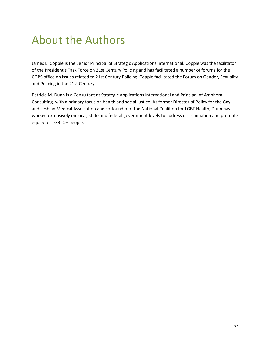## About the Authors

James E. Copple is the Senior Principal of Strategic Applications International. Copple was the facilitator of the President's Task Force on 21st Century Policing and has facilitated a number of forums for the COPS office on issues related to 21st Century Policing. Copple facilitated the Forum on Gender, Sexuality and Policing in the 21st Century.

Patricia M. Dunn is a Consultant at Strategic Applications International and Principal of Amphora Consulting, with a primary focus on health and social justice. As former Director of Policy for the Gay and Lesbian Medical Association and co-founder of the National Coalition for LGBT Health, Dunn has worked extensively on local, state and federal government levels to address discrimination and promote equity for LGBTQ+ people.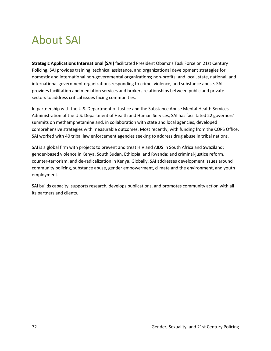# About SAI

**Strategic Applications International (SAI)** facilitated President Obama's Task Force on 21st Century Policing. SAI provides training, technical assistance, and organizational development strategies for domestic and international non-governmental organizations; non-profits; and local, state, national, and international government organizations responding to crime, violence, and substance abuse. SAI provides facilitation and mediation services and brokers relationships between public and private sectors to address critical issues facing communities.

In partnership with the U.S. Department of Justice and the Substance Abuse Mental Health Services Administration of the U.S. Department of Health and Human Services, SAI has facilitated 22 governors' summits on methamphetamine and, in collaboration with state and local agencies, developed comprehensive strategies with measurable outcomes. Most recently, with funding from the COPS Office, SAI worked with 40 tribal law enforcement agencies seeking to address drug abuse in tribal nations.

SAI is a global firm with projects to prevent and treat HIV and AIDS in South Africa and Swaziland; gender-based violence in Kenya, South Sudan, Ethiopia, and Rwanda; and criminal-justice reform, counter-terrorism, and de-radicalization in Kenya. Globally, SAI addresses development issues around community policing, substance abuse, gender empowerment, climate and the environment, and youth employment.

SAI builds capacity, supports research, develops publications, and promotes community action with all its partners and clients.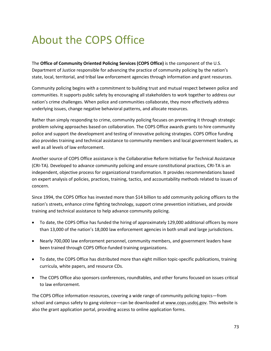# About the COPS Office

The **Office of Community Oriented Policing Services (COPS Office)** is the component of the U.S. Department of Justice responsible for advancing the practice of community policing by the nation's state, local, territorial, and tribal law enforcement agencies through information and grant resources.

Community policing begins with a commitment to building trust and mutual respect between police and communities. It supports public safety by encouraging all stakeholders to work together to address our nation's crime challenges. When police and communities collaborate, they more effectively address underlying issues, change negative behavioral patterns, and allocate resources.

Rather than simply responding to crime, community policing focuses on preventing it through strategic problem solving approaches based on collaboration. The COPS Office awards grants to hire community police and support the development and testing of innovative policing strategies. COPS Office funding also provides training and technical assistance to community members and local government leaders, as well as all levels of law enforcement.

Another source of COPS Office assistance is the Collaborative Reform Initiative for Technical Assistance (CRI-TA). Developed to advance community policing and ensure constitutional practices, CRI-TA is an independent, objective process for organizational transformation. It provides recommendations based on expert analysis of policies, practices, training, tactics, and accountability methods related to issues of concern.

Since 1994, the COPS Office has invested more than \$14 billion to add community policing officers to the nation's streets, enhance crime fighting technology, support crime prevention initiatives, and provide training and technical assistance to help advance community policing.

- To date, the COPS Office has funded the hiring of approximately 129,000 additional officers by more than 13,000 of the nation's 18,000 law enforcement agencies in both small and large jurisdictions.
- Nearly 700,000 law enforcement personnel, community members, and government leaders have been trained through COPS Office-funded training organizations.
- To date, the COPS Office has distributed more than eight million topic-specific publications, training curricula, white papers, and resource CDs.
- The COPS Office also sponsors conferences, roundtables, and other forums focused on issues critical to law enforcement.

The COPS Office information resources, covering a wide range of community policing topics—from school and campus safety to gang violence—can be downloaded at www.cops.usdoj.gov. This website is also the grant application portal, providing access to online application forms.